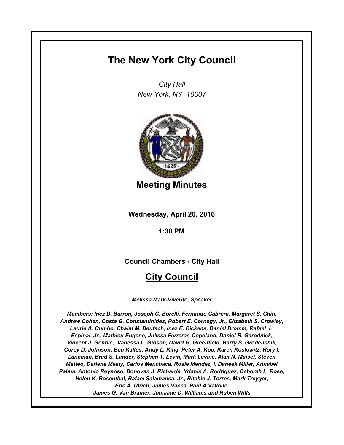# **The New York City Council**

*City Hall New York, NY 10007*



**Meeting Minutes**

**Wednesday, April 20, 2016**

**1:30 PM**

**Council Chambers - City Hall**

# **City Council**

*Melissa Mark-Viverito, Speaker*

*Members: Inez D. Barron, Joseph C. Borelli, Fernando Cabrera, Margaret S. Chin, Andrew Cohen, Costa G. Constantinides, Robert E. Cornegy, Jr., Elizabeth S. Crowley, Laurie A. Cumbo, Chaim M. Deutsch, Inez E. Dickens, Daniel Dromm, Rafael L. Espinal, Jr., Mathieu Eugene, Julissa Ferreras-Copeland, Daniel R. Garodnick, Vincent J. Gentile, Vanessa L. Gibson, David G. Greenfield, Barry S. Grodenchik, Corey D. Johnson, Ben Kallos, Andy L. King, Peter A. Koo, Karen Koslowitz, Rory I. Lancman, Brad S. Lander, Stephen T. Levin, Mark Levine, Alan N. Maisel, Steven Matteo, Darlene Mealy, Carlos Menchaca, Rosie Mendez, I. Daneek Miller, Annabel Palma, Antonio Reynoso, Donovan J. Richards, Ydanis A. Rodriguez, Deborah L. Rose, Helen K. Rosenthal, Rafael Salamanca, Jr., Ritchie J. Torres, Mark Treyger, Eric A. Ulrich, James Vacca, Paul A.Vallone, James G. Van Bramer, Jumaane D. Williams and Ruben Wills*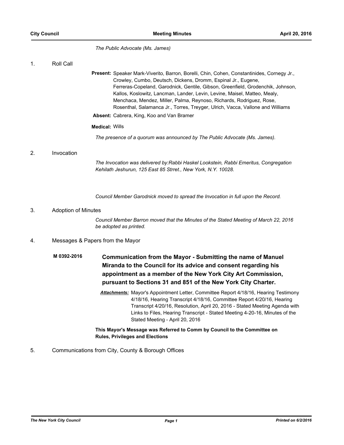*The Public Advocate (Ms. James)*

#### 1. Roll Call

Present: Speaker Mark-Viverito, Barron, Borelli, Chin, Cohen, Constantinides, Cornegy Jr., Crowley, Cumbo, Deutsch, Dickens, Dromm, Espinal Jr., Eugene, Ferreras-Copeland, Garodnick, Gentile, Gibson, Greenfield, Grodenchik, Johnson, Kallos, Koslowitz, Lancman, Lander, Levin, Levine, Maisel, Matteo, Mealy, Menchaca, Mendez, Miller, Palma, Reynoso, Richards, Rodriguez, Rose, Rosenthal, Salamanca Jr., Torres, Treyger, Ulrich, Vacca, Vallone and Williams

**Absent:** Cabrera, King, Koo and Van Bramer

## **Medical:** Wills

*The presence of a quorum was announced by The Public Advocate (Ms. James).*

## 2. Invocation

*The Invocation was delivered by:Rabbi Haskel Lookstein, Rabbi Emeritus, Congregation Kehilath Jeshurun, 125 East 85 Strret., New York, N.Y. 10028.*

*Council Member Garodnick moved to spread the Invocation in full upon the Record.*

## 3. Adoption of Minutes

*Council Member Barron moved that the Minutes of the Stated Meeting of March 22, 2016 be adopted as printed.*

## 4. Messages & Papers from the Mayor

- **Communication from the Mayor Submitting the name of Manuel Miranda to the Council for its advice and consent regarding his appointment as a member of the New York City Art Commission, pursuant to Sections 31 and 851 of the New York City Charter. M 0392-2016**
	- *Attachments:* Mayor's Appointment Letter, Committee Report 4/18/16, Hearing Testimony 4/18/16, Hearing Transcript 4/18/16, Committee Report 4/20/16, Hearing Transcript 4/20/16, Resolution, April 20, 2016 - Stated Meeting Agenda with Links to Files, Hearing Transcript - Stated Meeting 4-20-16, Minutes of the Stated Meeting - April 20, 2016

## **This Mayor's Message was Referred to Comm by Council to the Committee on Rules, Privileges and Elections**

## 5. Communications from City, County & Borough Offices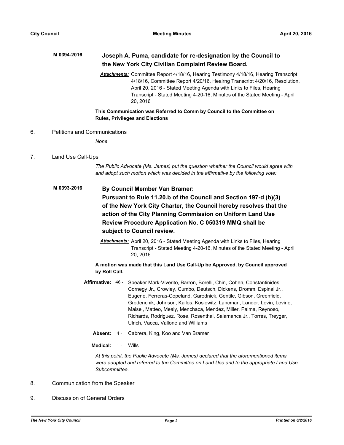## **Joseph A. Puma, candidate for re-designation by the Council to the New York City Civilian Complaint Review Board. M 0394-2016** *Attachments:* Committee Report 4/18/16, Hearing Testimony 4/18/16, Hearing Transcript 4/18/16, Committee Report 4/20/16, Heairng Transcript 4/20/16, Resolution, April 20, 2016 - Stated Meeting Agenda with Links to Files, Hearing Transcript - Stated Meeting 4-20-16, Minutes of the Stated Meeting - April 20, 2016 **This Communication was Referred to Comm by Council to the Committee on Rules, Privileges and Elections**

6. Petitions and Communications

*None*

## 7. Land Use Call-Ups

*The Public Advocate (Ms. James) put the question whether the Council would agree with and adopt such motion which was decided in the affirmative by the following vote:*

## **By Council Member Van Bramer: Pursuant to Rule 11.20.b of the Council and Section 197-d (b)(3) of the New York City Charter, the Council hereby resolves that the action of the City Planning Commission on Uniform Land Use Review Procedure Application No. C 050319 MMQ shall be subject to Council review. M 0393-2016**

*Attachments:* April 20, 2016 - Stated Meeting Agenda with Links to Files, Hearing Transcript - Stated Meeting 4-20-16, Minutes of the Stated Meeting - April 20, 2016

## **A motion was made that this Land Use Call-Up be Approved, by Council approved by Roll Call.**

- Affirmative: 46 Speaker Mark-Viverito, Barron, Borelli, Chin, Cohen, Constantinides, Cornegy Jr., Crowley, Cumbo, Deutsch, Dickens, Dromm, Espinal Jr., Eugene, Ferreras-Copeland, Garodnick, Gentile, Gibson, Greenfield, Grodenchik, Johnson, Kallos, Koslowitz, Lancman, Lander, Levin, Levine, Maisel, Matteo, Mealy, Menchaca, Mendez, Miller, Palma, Reynoso, Richards, Rodriguez, Rose, Rosenthal, Salamanca Jr., Torres, Treyger, Ulrich, Vacca, Vallone and Williams
	- **Absent:** 4 Cabrera, King, Koo and Van Bramer
	- **Medical:** 1 Wills

*At this point, the Public Advocate (Ms. James) declared that the aforementioned items were adopted and referred to the Committee on Land Use and to the appropriate Land Use Subcommittee.*

- 8. Communication from the Speaker
- 9. Discussion of General Orders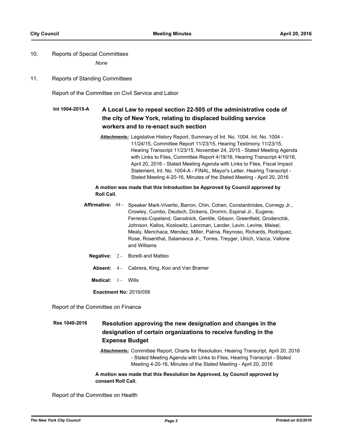## 10. Reports of Special Committees

*None*

11. Reports of Standing Committees

Report of the Committee on Civil Service and Labor

#### **A Local Law to repeal section 22-505 of the administrative code of the city of New York, relating to displaced building service workers and to re-enact such section Int 1004-2015-A**

*Attachments:* Legislative History Report, Summary of Int. No. 1004, Int. No. 1004 - 11/24/15, Committee Report 11/23/15, Hearing Testimony 11/23/15, Hearing Transcript 11/23/15, November 24, 2015 - Stated Meeting Agenda with Links to Files, Committee Report 4/19/16, Hearing Transcript 4/19/16, April 20, 2016 - Stated Meeting Agenda with Links to Files, Fiscal Impact Statement, Int. No. 1004-A - FINAL, Mayor's Letter, Hearing Transcript - Stated Meeting 4-20-16, Minutes of the Stated Meeting - April 20, 2016

## **A motion was made that this Introduction be Approved by Council approved by Roll Call.**

- Affirmative: 44 Speaker Mark-Viverito, Barron, Chin, Cohen, Constantinides, Cornegy Jr., Crowley, Cumbo, Deutsch, Dickens, Dromm, Espinal Jr., Eugene, Ferreras-Copeland, Garodnick, Gentile, Gibson, Greenfield, Grodenchik, Johnson, Kallos, Koslowitz, Lancman, Lander, Levin, Levine, Maisel, Mealy, Menchaca, Mendez, Miller, Palma, Reynoso, Richards, Rodriguez, Rose, Rosenthal, Salamanca Jr., Torres, Treyger, Ulrich, Vacca, Vallone and Williams
	- **Negative:** 2 Borelli and Matteo
		- **Absent:** 4 Cabrera, King, Koo and Van Bramer
	- **Medical:** 1 Wills

**Enactment No:** 2016/058

Report of the Committee on Finance

#### **Resolution approving the new designation and changes in the designation of certain organizations to receive funding in the Expense Budget Res 1040-2016**

*Attachments:* Committee Report, Charts for Resolution, Heairng Transcript, April 20, 2016 - Stated Meeting Agenda with Links to Files, Hearing Transcript - Stated Meeting 4-20-16, Minutes of the Stated Meeting - April 20, 2016

#### **A motion was made that this Resolution be Approved, by Council approved by consent Roll Call.**

Report of the Committee on Health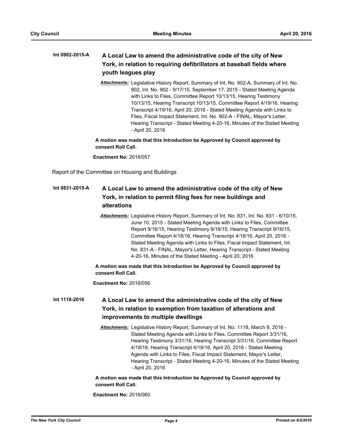#### **A Local Law to amend the administrative code of the city of New York, in relation to requiring defibrillators at baseball fields where youth leagues play Int 0902-2015-A**

*Attachments:* Legislative History Report, Summary of Int. No. 902-A, Summary of Int. No. 902, Int. No. 902 - 9/17/15, September 17, 2015 - Stated Meeting Agenda with Links to Files, Committee Report 10/13/15, Hearing Testimony 10/13/15, Hearing Transcript 10/13/15, Committee Report 4/19/16, Hearing Transcript 4/19/16, April 20, 2016 - Stated Meeting Agenda with Links to Files, Fiscal Impact Statement, Int. No. 902-A - FINAL, Mayor's Letter, Hearing Transcript - Stated Meeting 4-20-16, Minutes of the Stated Meeting - April 20, 2016

**A motion was made that this Introduction be Approved by Council approved by consent Roll Call.**

**Enactment No:** 2016/057

Report of the Committee on Housing and Buildings

#### **A Local Law to amend the administrative code of the city of New York, in relation to permit filing fees for new buildings and alterations Int 0831-2015-A**

*Attachments:* Legislative History Report, Summary of Int. No. 831, Int. No. 831 - 6/10/15, June 10, 2015 - Stated Meeting Agenda with Links to Files, Committee Report 9/16/15, Hearing Testimony 9/16/15, Hearing Transcript 9/16/15, Committee Report 4/18/16, Hearing Transcript 4/18/16, April 20, 2016 - Stated Meeting Agenda with Links to Files, Fiscal Impact Statement, Int. No. 831-A - FINAL, Mayor's Letter, Hearing Transcript - Stated Meeting 4-20-16, Minutes of the Stated Meeting - April 20, 2016

**A motion was made that this Introduction be Approved by Council approved by consent Roll Call.**

**Enactment No:** 2016/056

#### **A Local Law to amend the administrative code of the city of New York, in relation to exemption from taxation of alterations and improvements to multiple dwellings Int 1118-2016**

*Attachments:* Legislative History Report, Summary of Int. No. 1118, March 9, 2016 - Stated Meeting Agenda with Links to Files, Committee Report 3/31/16, Hearing Testimony 3/31/16, Hearing Transcript 3/31/16, Committee Report 4/18/16, Hearing Transcript 4/18/16, April 20, 2016 - Stated Meeting Agenda with Links to Files, Fiscal Impact Statement, Mayor's Letter, Hearing Transcript - Stated Meeting 4-20-16, Minutes of the Stated Meeting - April 20, 2016

#### **A motion was made that this Introduction be Approved by Council approved by consent Roll Call.**

**Enactment No:** 2016/060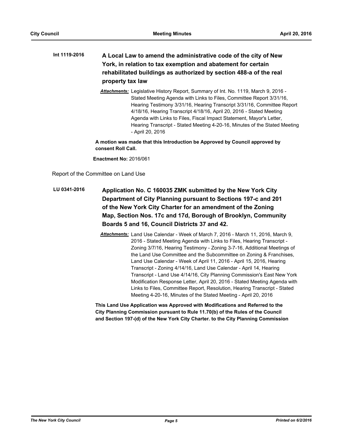## **A Local Law to amend the administrative code of the city of New York, in relation to tax exemption and abatement for certain rehabilitated buildings as authorized by section 488-a of the real property tax law Int 1119-2016**

*Attachments:* Legislative History Report, Summary of Int. No. 1119, March 9, 2016 - Stated Meeting Agenda with Links to Files, Committee Report 3/31/16, Hearing Testimony 3/31/16, Hearing Transcript 3/31/16, Committee Report 4/18/16, Hearing Transcript 4/18/16, April 20, 2016 - Stated Meeting Agenda with Links to Files, Fiscal Impact Statement, Mayor's Letter, Hearing Transcript - Stated Meeting 4-20-16, Minutes of the Stated Meeting - April 20, 2016

**A motion was made that this Introduction be Approved by Council approved by consent Roll Call.**

**Enactment No:** 2016/061

Report of the Committee on Land Use

- **Application No. C 160035 ZMK submitted by the New York City Department of City Planning pursuant to Sections 197-c and 201 of the New York City Charter for an amendment of the Zoning Map, Section Nos. 17c and 17d, Borough of Brooklyn, Community Boards 5 and 16, Council Districts 37 and 42. LU 0341-2016**
	- *Attachments:* Land Use Calendar Week of March 7, 2016 March 11, 2016, March 9, 2016 - Stated Meeting Agenda with Links to Files, Hearing Transcript - Zoning 3/7/16, Hearing Testimony - Zoning 3-7-16, Additional Meetings of the Land Use Committee and the Subcommittee on Zoning & Franchises, Land Use Calendar - Week of April 11, 2016 - April 15, 2016, Hearing Transcript - Zoning 4/14/16, Land Use Calendar - April 14, Hearing Transcript - Land Use 4/14/16, City Planning Commission's East New York Modification Response Letter, April 20, 2016 - Stated Meeting Agenda with Links to Files, Committee Report, Resolution, Hearing Transcript - Stated Meeting 4-20-16, Minutes of the Stated Meeting - April 20, 2016

**This Land Use Application was Approved with Modifications and Referred to the City Planning Commission pursuant to Rule 11.70(b) of the Rules of the Council and Section 197-(d) of the New York City Charter. to the City Planning Commission**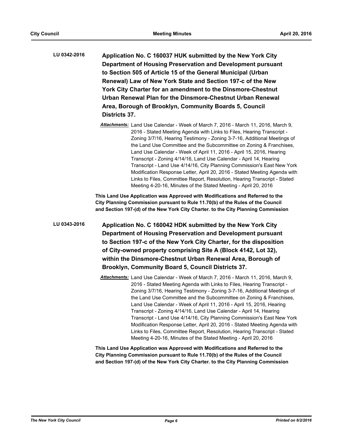**Application No. C 160037 HUK submitted by the New York City Department of Housing Preservation and Development pursuant to Section 505 of Article 15 of the General Municipal (Urban Renewal) Law of New York State and Section 197-c of the New York City Charter for an amendment to the Dinsmore-Chestnut Urban Renewal Plan for the Dinsmore-Chestnut Urban Renewal Area, Borough of Brooklyn, Community Boards 5, Council Districts 37. LU 0342-2016**

> *Attachments:* Land Use Calendar - Week of March 7, 2016 - March 11, 2016, March 9, 2016 - Stated Meeting Agenda with Links to Files, Hearing Transcript - Zoning 3/7/16, Hearing Testimony - Zoning 3-7-16, Additional Meetings of the Land Use Committee and the Subcommittee on Zoning & Franchises, Land Use Calendar - Week of April 11, 2016 - April 15, 2016, Hearing Transcript - Zoning 4/14/16, Land Use Calendar - April 14, Hearing Transcript - Land Use 4/14/16, City Planning Commission's East New York Modification Response Letter, April 20, 2016 - Stated Meeting Agenda with Links to Files, Committee Report, Resolution, Hearing Transcript - Stated Meeting 4-20-16, Minutes of the Stated Meeting - April 20, 2016

**This Land Use Application was Approved with Modifications and Referred to the City Planning Commission pursuant to Rule 11.70(b) of the Rules of the Council and Section 197-(d) of the New York City Charter. to the City Planning Commission**

**Application No. C 160042 HDK submitted by the New York City Department of Housing Preservation and Development pursuant to Section 197-c of the New York City Charter, for the disposition of City-owned property comprising Site A (Block 4142, Lot 32), within the Dinsmore-Chestnut Urban Renewal Area, Borough of Brooklyn, Community Board 5, Council Districts 37. LU 0343-2016**

> *Attachments:* Land Use Calendar - Week of March 7, 2016 - March 11, 2016, March 9, 2016 - Stated Meeting Agenda with Links to Files, Hearing Transcript - Zoning 3/7/16, Hearing Testimony - Zoning 3-7-16, Additional Meetings of the Land Use Committee and the Subcommittee on Zoning & Franchises, Land Use Calendar - Week of April 11, 2016 - April 15, 2016, Hearing Transcript - Zoning 4/14/16, Land Use Calendar - April 14, Hearing Transcript - Land Use 4/14/16, City Planning Commission's East New York Modification Response Letter, April 20, 2016 - Stated Meeting Agenda with Links to Files, Committee Report, Resolution, Hearing Transcript - Stated Meeting 4-20-16, Minutes of the Stated Meeting - April 20, 2016

**This Land Use Application was Approved with Modifications and Referred to the City Planning Commission pursuant to Rule 11.70(b) of the Rules of the Council and Section 197-(d) of the New York City Charter. to the City Planning Commission**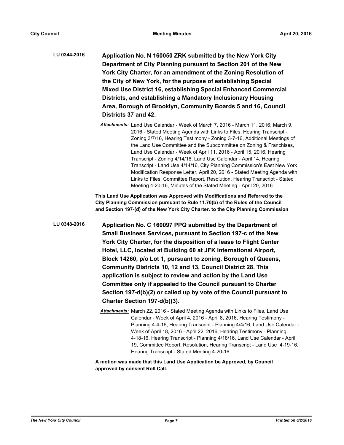- **Application No. N 160050 ZRK submitted by the New York City Department of City Planning pursuant to Section 201 of the New York City Charter, for an amendment of the Zoning Resolution of the City of New York, for the purpose of establishing Special Mixed Use District 16, establishing Special Enhanced Commercial Districts, and establishing a Mandatory Inclusionary Housing Area, Borough of Brooklyn, Community Boards 5 and 16, Council Districts 37 and 42. LU 0344-2016**
	- *Attachments:* Land Use Calendar Week of March 7, 2016 March 11, 2016, March 9, 2016 - Stated Meeting Agenda with Links to Files, Hearing Transcript - Zoning 3/7/16, Hearing Testimony - Zoning 3-7-16, Additional Meetings of the Land Use Committee and the Subcommittee on Zoning & Franchises, Land Use Calendar - Week of April 11, 2016 - April 15, 2016, Hearing Transcript - Zoning 4/14/16, Land Use Calendar - April 14, Hearing Transcript - Land Use 4/14/16, City Planning Commission's East New York Modification Response Letter, April 20, 2016 - Stated Meeting Agenda with Links to Files, Committee Report, Resolution, Hearing Transcript - Stated Meeting 4-20-16, Minutes of the Stated Meeting - April 20, 2016

**This Land Use Application was Approved with Modifications and Referred to the City Planning Commission pursuant to Rule 11.70(b) of the Rules of the Council and Section 197-(d) of the New York City Charter. to the City Planning Commission**

**Application No. C 160097 PPQ submitted by the Department of Small Business Services, pursuant to Section 197-c of the New York City Charter, for the disposition of a lease to Flight Center Hotel, LLC, located at Building 60 at JFK International Airport, Block 14260, p/o Lot 1, pursuant to zoning, Borough of Queens, Community Districts 10, 12 and 13, Council District 28. This application is subject to review and action by the Land Use Committee only if appealed to the Council pursuant to Charter Section 197-d(b)(2) or called up by vote of the Council pursuant to Charter Section 197-d(b)(3). LU 0348-2016**

> *Attachments:* March 22, 2016 - Stated Meeting Agenda with Links to Files, Land Use Calendar - Week of April 4, 2016 - April 8, 2016, Hearing Testimony - Planning 4-4-16, Hearing Transcript - Planning 4/4/16, Land Use Calendar - Week of April 18, 2016 - April 22, 2016, Hearing Testimony - Planning 4-18-16, Hearing Transcript - Planning 4/18/16, Land Use Calendar - April 19, Committee Report, Resolution, Hearing Transcript - Land Use 4-19-16, Hearing Transcript - Stated Meeting 4-20-16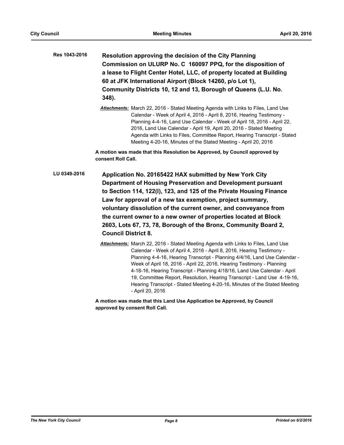| Res 1043-2016 | Resolution approving the decision of the City Planning               |
|---------------|----------------------------------------------------------------------|
|               | Commission on ULURP No. C 160097 PPQ, for the disposition of         |
|               | a lease to Flight Center Hotel, LLC, of property located at Building |
|               | 60 at JFK International Airport (Block 14260, p/o Lot 1),            |
|               | Community Districts 10, 12 and 13, Borough of Queens (L.U. No.       |
|               | 348).                                                                |

*Attachments:* March 22, 2016 - Stated Meeting Agenda with Links to Files, Land Use Calendar - Week of April 4, 2016 - April 8, 2016, Hearing Testimony - Planning 4-4-16, Land Use Calendar - Week of April 18, 2016 - April 22, 2016, Land Use Calendar - April 19, April 20, 2016 - Stated Meeting Agenda with Links to Files, Committee Report, Hearing Transcript - Stated Meeting 4-20-16, Minutes of the Stated Meeting - April 20, 2016

**A motion was made that this Resolution be Approved, by Council approved by consent Roll Call.**

- **Application No. 20165422 HAX submitted by New York City Department of Housing Preservation and Development pursuant to Section 114, 122(l), 123, and 125 of the Private Housing Finance Law for approval of a new tax exemption, project summary, voluntary dissolution of the current owner, and conveyance from the current owner to a new owner of properties located at Block 2603, Lots 67, 73, 78, Borough of the Bronx, Community Board 2, Council District 8. LU 0349-2016**
	- *Attachments:* March 22, 2016 Stated Meeting Agenda with Links to Files, Land Use Calendar - Week of April 4, 2016 - April 8, 2016, Hearing Testimony - Planning 4-4-16, Hearing Transcript - Planning 4/4/16, Land Use Calendar - Week of April 18, 2016 - April 22, 2016, Hearing Testimony - Planning 4-18-16, Hearing Transcript - Planning 4/18/16, Land Use Calendar - April 19, Committee Report, Resolution, Hearing Transcript - Land Use 4-19-16, Hearing Transcript - Stated Meeting 4-20-16, Minutes of the Stated Meeting - April 20, 2016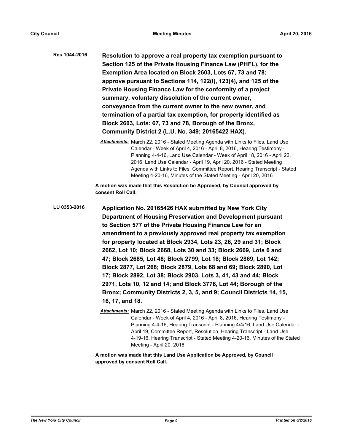**Resolution to approve a real property tax exemption pursuant to Section 125 of the Private Housing Finance Law (PHFL), for the Exemption Area located on Block 2603, Lots 67, 73 and 78; approve pursuant to Sections 114, 122(l), 123(4), and 125 of the Private Housing Finance Law for the conformity of a project summary, voluntary dissolution of the current owner, conveyance from the current owner to the new owner, and termination of a partial tax exemption, for property identified as Block 2603, Lots: 67, 73 and 78, Borough of the Bronx, Community District 2 (L.U. No. 349; 20165422 HAX). Res 1044-2016**

**A motion was made that this Resolution be Approved, by Council approved by consent Roll Call.**

**Application No. 20165426 HAX submitted by New York City Department of Housing Preservation and Development pursuant to Section 577 of the Private Housing Finance Law for an amendment to a previously approved real property tax exemption for property located at Block 2934, Lots 23, 26, 29 and 31; Block 2662, Lot 10; Block 2668, Lots 30 and 33; Block 2669, Lots 6 and 47; Block 2685, Lot 48; Block 2799, Lot 18; Block 2869, Lot 142; Block 2877, Lot 268; Block 2879, Lots 68 and 69; Block 2890, Lot 17; Block 2892, Lot 38; Block 2903, Lots 3, 41, 43 and 44; Block 2971, Lots 10, 12 and 14; and Block 3776, Lot 44; Borough of the Bronx; Community Districts 2, 3, 5, and 9; Council Districts 14, 15, 16, 17, and 18. LU 0353-2016**

> *Attachments:* March 22, 2016 - Stated Meeting Agenda with Links to Files, Land Use Calendar - Week of April 4, 2016 - April 8, 2016, Hearing Testimony - Planning 4-4-16, Hearing Transcript - Planning 4/4/16, Land Use Calendar - April 19, Committee Report, Resolution, Hearing Transcript - Land Use 4-19-16, Hearing Transcript - Stated Meeting 4-20-16, Minutes of the Stated Meeting - April 20, 2016

*Attachments:* March 22, 2016 - Stated Meeting Agenda with Links to Files, Land Use Calendar - Week of April 4, 2016 - April 8, 2016, Hearing Testimony - Planning 4-4-16, Land Use Calendar - Week of April 18, 2016 - April 22, 2016, Land Use Calendar - April 19, April 20, 2016 - Stated Meeting Agenda with Links to Files, Committee Report, Hearing Transcript - Stated Meeting 4-20-16, Minutes of the Stated Meeting - April 20, 2016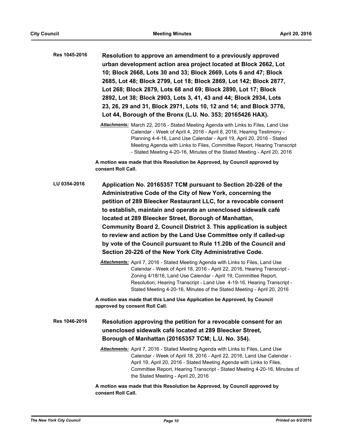**Resolution to approve an amendment to a previously approved urban development action area project located at Block 2662, Lot 10; Block 2668, Lots 30 and 33; Block 2669, Lots 6 and 47; Block 2685, Lot 48; Block 2799, Lot 18; Block 2869, Lot 142; Block 2877, Lot 268; Block 2879, Lots 68 and 69; Block 2890, Lot 17; Block 2892, Lot 38; Block 2903, Lots 3, 41, 43 and 44; Block 2934, Lots 23, 26, 29 and 31, Block 2971, Lots 10, 12 and 14; and Block 3776, Lot 44, Borough of the Bronx (L.U. No. 353; 20165426 HAX). Res 1045-2016**

> *Attachments:* March 22, 2016 - Stated Meeting Agenda with Links to Files, Land Use Calendar - Week of April 4, 2016 - April 8, 2016, Hearing Testimony - Planning 4-4-16, Land Use Calendar - April 19, April 20, 2016 - Stated Meeting Agenda with Links to Files, Committee Report, Hearing Transcript - Stated Meeting 4-20-16, Minutes of the Stated Meeting - April 20, 2016

**A motion was made that this Resolution be Approved, by Council approved by consent Roll Call.**

**Application No. 20165357 TCM pursuant to Section 20-226 of the Administrative Code of the City of New York, concerning the petition of 289 Bleecker Restaurant LLC, for a revocable consent to establish, maintain and operate an unenclosed sidewalk café located at 289 Bleecker Street, Borough of Manhattan, Community Board 2, Council District 3. This application is subject to review and action by the Land Use Committee only if called-up by vote of the Council pursuant to Rule 11.20b of the Council and Section 20-226 of the New York City Administrative Code. LU 0354-2016**

> *Attachments:* April 7, 2016 - Stated Meeting Agenda with Links to Files, Land Use Calendar - Week of April 18, 2016 - April 22, 2016, Hearing Transcript - Zoning 4/18/16, Land Use Calendar - April 19, Committee Report, Resolution, Hearing Transcript - Land Use 4-19-16, Hearing Transcript - Stated Meeting 4-20-16, Minutes of the Stated Meeting - April 20, 2016

**A motion was made that this Land Use Application be Approved, by Council approved by consent Roll Call.**

- **Resolution approving the petition for a revocable consent for an unenclosed sidewalk café located at 289 Bleecker Street, Borough of Manhattan (20165357 TCM; L.U. No. 354). Res 1046-2016**
	- *Attachments:* April 7, 2016 Stated Meeting Agenda with Links to Files, Land Use Calendar - Week of April 18, 2016 - April 22, 2016, Land Use Calendar - April 19, April 20, 2016 - Stated Meeting Agenda with Links to Files, Committee Report, Hearing Transcript - Stated Meeting 4-20-16, Minutes of the Stated Meeting - April 20, 2016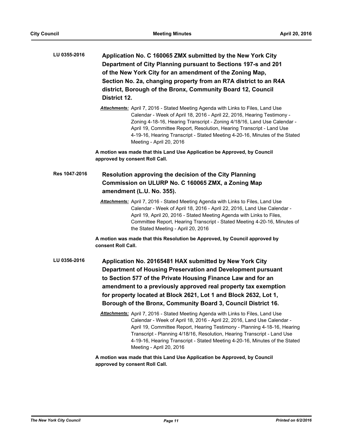| LU 0355-2016  | Application No. C 160065 ZMX submitted by the New York City<br>Department of City Planning pursuant to Sections 197-s and 201<br>of the New York City for an amendment of the Zoning Map,<br>Section No. 2a, changing property from an R7A district to an R4A<br>district, Borough of the Bronx, Community Board 12, Council<br>District 12.                                                                                    |
|---------------|---------------------------------------------------------------------------------------------------------------------------------------------------------------------------------------------------------------------------------------------------------------------------------------------------------------------------------------------------------------------------------------------------------------------------------|
|               | Attachments: April 7, 2016 - Stated Meeting Agenda with Links to Files, Land Use<br>Calendar - Week of April 18, 2016 - April 22, 2016, Hearing Testimony -<br>Zoning 4-18-16, Hearing Transcript - Zoning 4/18/16, Land Use Calendar -<br>April 19, Committee Report, Resolution, Hearing Transcript - Land Use<br>4-19-16, Hearing Transcript - Stated Meeting 4-20-16, Minutes of the Stated<br>Meeting - April 20, 2016     |
|               | A motion was made that this Land Use Application be Approved, by Council<br>approved by consent Roll Call.                                                                                                                                                                                                                                                                                                                      |
| Res 1047-2016 | Resolution approving the decision of the City Planning<br>Commission on ULURP No. C 160065 ZMX, a Zoning Map<br>amendment (L.U. No. 355).                                                                                                                                                                                                                                                                                       |
|               | Attachments: April 7, 2016 - Stated Meeting Agenda with Links to Files, Land Use<br>Calendar - Week of April 18, 2016 - April 22, 2016, Land Use Calendar -<br>April 19, April 20, 2016 - Stated Meeting Agenda with Links to Files,<br>Committee Report, Hearing Transcript - Stated Meeting 4-20-16, Minutes of<br>the Stated Meeting - April 20, 2016                                                                        |
|               | A motion was made that this Resolution be Approved, by Council approved by<br>consent Roll Call.                                                                                                                                                                                                                                                                                                                                |
| LU 0356-2016  | Application No. 20165481 HAX submitted by New York City<br>Department of Housing Preservation and Development pursuant<br>to Section 577 of the Private Housing Finance Law and for an<br>amendment to a previously approved real property tax exemption<br>for property located at Block 2621, Lot 1 and Block 2632, Lot 1,<br>Borough of the Bronx, Community Board 3, Council District 16.                                   |
|               | Attachments: April 7, 2016 - Stated Meeting Agenda with Links to Files, Land Use<br>Calendar - Week of April 18, 2016 - April 22, 2016, Land Use Calendar -<br>April 19, Committee Report, Hearing Testimony - Planning 4-18-16, Hearing<br>Transcript - Planning 4/18/16, Resolution, Hearing Transcript - Land Use<br>4-19-16, Hearing Transcript - Stated Meeting 4-20-16, Minutes of the Stated<br>Meeting - April 20, 2016 |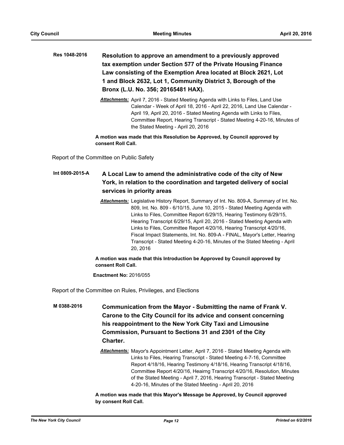- **Resolution to approve an amendment to a previously approved tax exemption under Section 577 of the Private Housing Finance Law consisting of the Exemption Area located at Block 2621, Lot 1 and Block 2632, Lot 1, Community District 3, Borough of the Bronx (L.U. No. 356; 20165481 HAX). Res 1048-2016**
	- *Attachments:* April 7, 2016 Stated Meeting Agenda with Links to Files, Land Use Calendar - Week of April 18, 2016 - April 22, 2016, Land Use Calendar - April 19, April 20, 2016 - Stated Meeting Agenda with Links to Files, Committee Report, Hearing Transcript - Stated Meeting 4-20-16, Minutes of the Stated Meeting - April 20, 2016

**A motion was made that this Resolution be Approved, by Council approved by consent Roll Call.**

Report of the Committee on Public Safety

#### **A Local Law to amend the administrative code of the city of New York, in relation to the coordination and targeted delivery of social services in priority areas Int 0809-2015-A**

*Attachments:* Legislative History Report, Summary of Int. No. 809-A, Summary of Int. No. 809, Int. No. 809 - 6/10/15, June 10, 2015 - Stated Meeting Agenda with Links to Files, Committee Report 6/29/15, Hearing Testimony 6/29/15, Hearing Transcript 6/29/15, April 20, 2016 - Stated Meeting Agenda with Links to Files, Committee Report 4/20/16, Hearing Transcript 4/20/16, Fiscal Impact Statements, Int. No. 809-A - FINAL, Mayor's Letter, Hearing Transcript - Stated Meeting 4-20-16, Minutes of the Stated Meeting - April 20, 2016

## **A motion was made that this Introduction be Approved by Council approved by consent Roll Call.**

**Enactment No:** 2016/055

Report of the Committee on Rules, Privileges, and Elections

- **Communication from the Mayor Submitting the name of Frank V. Carone to the City Council for its advice and consent concerning his reappointment to the New York City Taxi and Limousine Commission, Pursuant to Sections 31 and 2301 of the City Charter. M 0388-2016**
	- *Attachments:* Mayor's Appointment Letter, April 7, 2016 Stated Meeting Agenda with Links to Files, Hearing Transcript - Stated Meeting 4-7-16, Committee Report 4/18/16, Hearing Testimony 4/18/16, Hearing Transcript 4/18/16, Committee Report 4/20/16, Heairng Transcript 4/20/16, Resolution, Minutes of the Stated Meeting - April 7, 2016, Hearing Transcript - Stated Meeting 4-20-16, Minutes of the Stated Meeting - April 20, 2016

**A motion was made that this Mayor's Message be Approved, by Council approved by consent Roll Call.**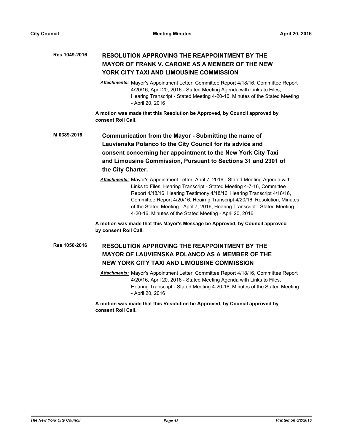#### **RESOLUTION APPROVING THE REAPPOINTMENT BY THE MAYOR OF FRANK V. CARONE AS A MEMBER OF THE NEW YORK CITY TAXI AND LIMOUSINE COMMISSION Res 1049-2016**

*Attachments:* Mayor's Appointment Letter, Committee Report 4/18/16, Committee Report 4/20/16, April 20, 2016 - Stated Meeting Agenda with Links to Files, Hearing Transcript - Stated Meeting 4-20-16, Minutes of the Stated Meeting - April 20, 2016

**A motion was made that this Resolution be Approved, by Council approved by consent Roll Call.**

**Communication from the Mayor - Submitting the name of Lauvienska Polanco to the City Council for its advice and consent concerning her appointment to the New York City Taxi and Limousine Commission, Pursuant to Sections 31 and 2301 of the City Charter. M 0389-2016**

> *Attachments:* Mayor's Appointment Letter, April 7, 2016 - Stated Meeting Agenda with Links to Files, Hearing Transcript - Stated Meeting 4-7-16, Committee Report 4/18/16, Hearing Testimony 4/18/16, Hearing Transcript 4/18/16, Committee Report 4/20/16, Heairng Transcript 4/20/16, Resolution, Minutes of the Stated Meeting - April 7, 2016, Hearing Transcript - Stated Meeting 4-20-16, Minutes of the Stated Meeting - April 20, 2016

**A motion was made that this Mayor's Message be Approved, by Council approved by consent Roll Call.**

## **RESOLUTION APPROVING THE REAPPOINTMENT BY THE MAYOR OF LAUVIENSKA POLANCO AS A MEMBER OF THE NEW YORK CITY TAXI AND LIMOUSINE COMMISSION Res 1050-2016**

*Attachments:* Mayor's Appointment Letter, Committee Report 4/18/16, Committee Report 4/20/16, April 20, 2016 - Stated Meeting Agenda with Links to Files, Hearing Transcript - Stated Meeting 4-20-16, Minutes of the Stated Meeting - April 20, 2016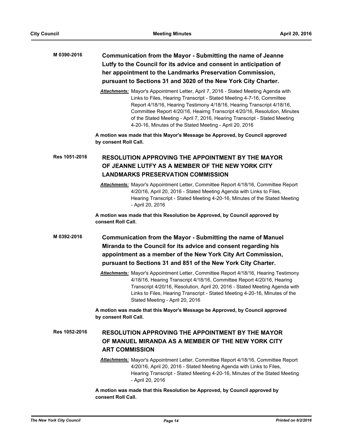## **Communication from the Mayor - Submitting the name of Jeanne Lutfy to the Council for its advice and consent in anticipation of her appointment to the Landmarks Preservation Commission, pursuant to Sections 31 and 3020 of the New York City Charter. M 0390-2016**

*Attachments:* Mayor's Appointment Letter, April 7, 2016 - Stated Meeting Agenda with Links to Files, Hearing Transcript - Stated Meeting 4-7-16, Committee Report 4/18/16, Hearing Testimony 4/18/16, Hearing Transcript 4/18/16, Committee Report 4/20/16, Heairng Transcript 4/20/16, Resolution, Minutes of the Stated Meeting - April 7, 2016, Hearing Transcript - Stated Meeting 4-20-16, Minutes of the Stated Meeting - April 20, 2016

**A motion was made that this Mayor's Message be Approved, by Council approved by consent Roll Call.**

#### **RESOLUTION APPROVING THE APPOINTMENT BY THE MAYOR OF JEANNE LUTFY AS A MEMBER OF THE NEW YORK CITY LANDMARKS PRESERVATION COMMISSION Res 1051-2016**

*Attachments:* Mayor's Appointment Letter, Committee Report 4/18/16, Committee Report 4/20/16, April 20, 2016 - Stated Meeting Agenda with Links to Files, Hearing Transcript - Stated Meeting 4-20-16, Minutes of the Stated Meeting - April 20, 2016

**A motion was made that this Resolution be Approved, by Council approved by consent Roll Call.**

- **Communication from the Mayor Submitting the name of Manuel Miranda to the Council for its advice and consent regarding his appointment as a member of the New York City Art Commission, pursuant to Sections 31 and 851 of the New York City Charter. M 0392-2016**
	- *Attachments:* Mayor's Appointment Letter, Committee Report 4/18/16, Hearing Testimony 4/18/16, Hearing Transcript 4/18/16, Committee Report 4/20/16, Hearing Transcript 4/20/16, Resolution, April 20, 2016 - Stated Meeting Agenda with Links to Files, Hearing Transcript - Stated Meeting 4-20-16, Minutes of the Stated Meeting - April 20, 2016

**A motion was made that this Mayor's Message be Approved, by Council approved by consent Roll Call.**

#### **RESOLUTION APPROVING THE APPOINTMENT BY THE MAYOR OF MANUEL MIRANDA AS A MEMBER OF THE NEW YORK CITY ART COMMISSION Res 1052-2016**

*Attachments:* Mayor's Appointment Letter, Committee Report 4/18/16, Committee Report 4/20/16, April 20, 2016 - Stated Meeting Agenda with Links to Files, Hearing Transcript - Stated Meeting 4-20-16, Minutes of the Stated Meeting - April 20, 2016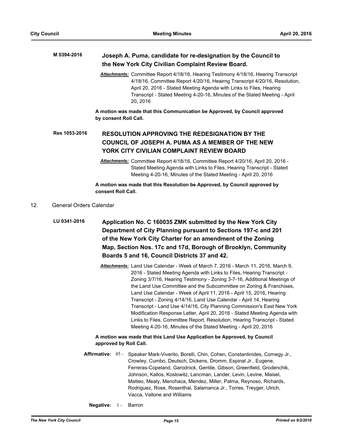| M 0394-2016 | Joseph A. Puma, candidate for re-designation by the Council to |
|-------------|----------------------------------------------------------------|
|             | the New York City Civilian Complaint Review Board.             |

*Attachments:* Committee Report 4/18/16, Hearing Testimony 4/18/16, Hearing Transcript 4/18/16, Committee Report 4/20/16, Heairng Transcript 4/20/16, Resolution, April 20, 2016 - Stated Meeting Agenda with Links to Files, Hearing Transcript - Stated Meeting 4-20-16, Minutes of the Stated Meeting - April 20, 2016

**A motion was made that this Communication be Approved, by Council approved by consent Roll Call.**

#### **RESOLUTION APPROVING THE REDESIGNATION BY THE COUNCIL OF JOSEPH A. PUMA AS A MEMBER OF THE NEW YORK CITY CIVILIAN COMPLAINT REVIEW BOARD Res 1053-2016**

**A motion was made that this Resolution be Approved, by Council approved by consent Roll Call.**

## 12. General Orders Calendar

```
Application No. C 160035 ZMK submitted by the New York City 
                 Department of City Planning pursuant to Sections 197-c and 201 
                 of the New York City Charter for an amendment of the Zoning 
                 Map, Section Nos. 17c and 17d, Borough of Brooklyn, Community 
                 Boards 5 and 16, Council Districts 37 and 42.
LU 0341-2016
```
*Attachments:* Land Use Calendar - Week of March 7, 2016 - March 11, 2016, March 9, 2016 - Stated Meeting Agenda with Links to Files, Hearing Transcript - Zoning 3/7/16, Hearing Testimony - Zoning 3-7-16, Additional Meetings of the Land Use Committee and the Subcommittee on Zoning & Franchises, Land Use Calendar - Week of April 11, 2016 - April 15, 2016, Hearing Transcript - Zoning 4/14/16, Land Use Calendar - April 14, Hearing Transcript - Land Use 4/14/16, City Planning Commission's East New York Modification Response Letter, April 20, 2016 - Stated Meeting Agenda with Links to Files, Committee Report, Resolution, Hearing Transcript - Stated Meeting 4-20-16, Minutes of the Stated Meeting - April 20, 2016

- Affirmative: 45 Speaker Mark-Viverito, Borelli, Chin, Cohen, Constantinides, Cornegy Jr., Crowley, Cumbo, Deutsch, Dickens, Dromm, Espinal Jr., Eugene, Ferreras-Copeland, Garodnick, Gentile, Gibson, Greenfield, Grodenchik, Johnson, Kallos, Koslowitz, Lancman, Lander, Levin, Levine, Maisel, Matteo, Mealy, Menchaca, Mendez, Miller, Palma, Reynoso, Richards, Rodriguez, Rose, Rosenthal, Salamanca Jr., Torres, Treyger, Ulrich, Vacca, Vallone and Williams
	- **Negative:** 1 Barron

*Attachments:* Committee Report 4/18/16, Committee Report 4/20/16, April 20, 2016 - Stated Meeting Agenda with Links to Files, Hearing Transcript - Stated Meeting 4-20-16, Minutes of the Stated Meeting - April 20, 2016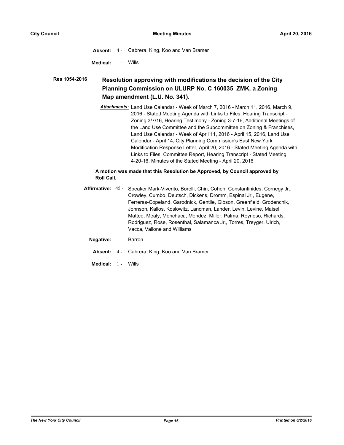**Absent:** 4 - Cabrera, King, Koo and Van Bramer

**Medical:** 1 - Wills

#### **Resolution approving with modifications the decision of the City Planning Commission on ULURP No. C 160035 ZMK, a Zoning Map amendment (L.U. No. 341). Res 1054-2016**

*Attachments:* Land Use Calendar - Week of March 7, 2016 - March 11, 2016, March 9, 2016 - Stated Meeting Agenda with Links to Files, Hearing Transcript - Zoning 3/7/16, Hearing Testimony - Zoning 3-7-16, Additional Meetings of the Land Use Committee and the Subcommittee on Zoning & Franchises, Land Use Calendar - Week of April 11, 2016 - April 15, 2016, Land Use Calendar - April 14, City Planning Commission's East New York Modification Response Letter, April 20, 2016 - Stated Meeting Agenda with Links to Files, Committee Report, Hearing Transcript - Stated Meeting 4-20-16, Minutes of the Stated Meeting - April 20, 2016

## **A motion was made that this Resolution be Approved, by Council approved by Roll Call.**

- Affirmative: 45 Speaker Mark-Viverito, Borelli, Chin, Cohen, Constantinides, Cornegy Jr., Crowley, Cumbo, Deutsch, Dickens, Dromm, Espinal Jr., Eugene, Ferreras-Copeland, Garodnick, Gentile, Gibson, Greenfield, Grodenchik, Johnson, Kallos, Koslowitz, Lancman, Lander, Levin, Levine, Maisel, Matteo, Mealy, Menchaca, Mendez, Miller, Palma, Reynoso, Richards, Rodriguez, Rose, Rosenthal, Salamanca Jr., Torres, Treyger, Ulrich, Vacca, Vallone and Williams
	- **Negative:** 1 Barron
		- **Absent:** 4 Cabrera, King, Koo and Van Bramer
	- **Medical:** 1 Wills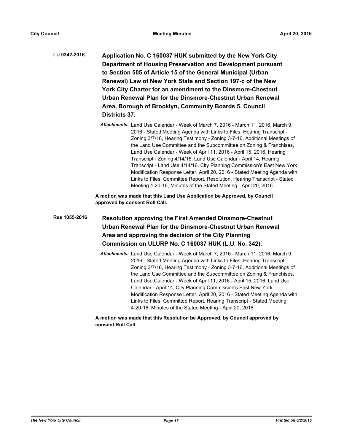- **Application No. C 160037 HUK submitted by the New York City Department of Housing Preservation and Development pursuant to Section 505 of Article 15 of the General Municipal (Urban Renewal) Law of New York State and Section 197-c of the New York City Charter for an amendment to the Dinsmore-Chestnut Urban Renewal Plan for the Dinsmore-Chestnut Urban Renewal Area, Borough of Brooklyn, Community Boards 5, Council Districts 37. LU 0342-2016**
	- *Attachments:* Land Use Calendar Week of March 7, 2016 March 11, 2016, March 9, 2016 - Stated Meeting Agenda with Links to Files, Hearing Transcript - Zoning 3/7/16, Hearing Testimony - Zoning 3-7-16, Additional Meetings of the Land Use Committee and the Subcommittee on Zoning & Franchises, Land Use Calendar - Week of April 11, 2016 - April 15, 2016, Hearing Transcript - Zoning 4/14/16, Land Use Calendar - April 14, Hearing Transcript - Land Use 4/14/16, City Planning Commission's East New York Modification Response Letter, April 20, 2016 - Stated Meeting Agenda with Links to Files, Committee Report, Resolution, Hearing Transcript - Stated Meeting 4-20-16, Minutes of the Stated Meeting - April 20, 2016

**A motion was made that this Land Use Application be Approved, by Council approved by consent Roll Call.**

- **Resolution approving the First Amended Dinsmore-Chestnut Urban Renewal Plan for the Dinsmore-Chestnut Urban Renewal Area and approving the decision of the City Planning Commission on ULURP No. C 160037 HUK (L.U. No. 342). Res 1055-2016**
	- *Attachments:* Land Use Calendar Week of March 7, 2016 March 11, 2016, March 9, 2016 - Stated Meeting Agenda with Links to Files, Hearing Transcript - Zoning 3/7/16, Hearing Testimony - Zoning 3-7-16, Additional Meetings of the Land Use Committee and the Subcommittee on Zoning & Franchises, Land Use Calendar - Week of April 11, 2016 - April 15, 2016, Land Use Calendar - April 14, City Planning Commission's East New York Modification Response Letter, April 20, 2016 - Stated Meeting Agenda with Links to Files, Committee Report, Hearing Transcript - Stated Meeting 4-20-16, Minutes of the Stated Meeting - April 20, 2016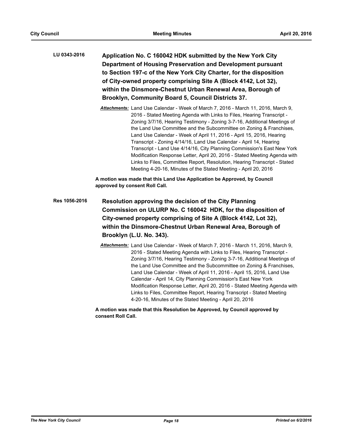| <b>LU 0343-2016</b> | Application No. C 160042 HDK submitted by the New York City        |  |
|---------------------|--------------------------------------------------------------------|--|
|                     | Department of Housing Preservation and Development pursuant        |  |
|                     | to Section 197-c of the New York City Charter, for the disposition |  |
|                     | of City-owned property comprising Site A (Block 4142, Lot 32),     |  |
|                     | within the Dinsmore-Chestnut Urban Renewal Area, Borough of        |  |
|                     | Brooklyn, Community Board 5, Council Districts 37.                 |  |
|                     |                                                                    |  |

*Attachments:* Land Use Calendar - Week of March 7, 2016 - March 11, 2016, March 9, 2016 - Stated Meeting Agenda with Links to Files, Hearing Transcript - Zoning 3/7/16, Hearing Testimony - Zoning 3-7-16, Additional Meetings of the Land Use Committee and the Subcommittee on Zoning & Franchises, Land Use Calendar - Week of April 11, 2016 - April 15, 2016, Hearing Transcript - Zoning 4/14/16, Land Use Calendar - April 14, Hearing Transcript - Land Use 4/14/16, City Planning Commission's East New York Modification Response Letter, April 20, 2016 - Stated Meeting Agenda with Links to Files, Committee Report, Resolution, Hearing Transcript - Stated Meeting 4-20-16, Minutes of the Stated Meeting - April 20, 2016

**A motion was made that this Land Use Application be Approved, by Council approved by consent Roll Call.**

- **Resolution approving the decision of the City Planning Commission on ULURP No. C 160042 HDK, for the disposition of City-owned property comprising of Site A (Block 4142, Lot 32), within the Dinsmore-Chestnut Urban Renewal Area, Borough of Brooklyn (L.U. No. 343). Res 1056-2016**
	- *Attachments:* Land Use Calendar Week of March 7, 2016 March 11, 2016, March 9, 2016 - Stated Meeting Agenda with Links to Files, Hearing Transcript - Zoning 3/7/16, Hearing Testimony - Zoning 3-7-16, Additional Meetings of the Land Use Committee and the Subcommittee on Zoning & Franchises, Land Use Calendar - Week of April 11, 2016 - April 15, 2016, Land Use Calendar - April 14, City Planning Commission's East New York Modification Response Letter, April 20, 2016 - Stated Meeting Agenda with Links to Files, Committee Report, Hearing Transcript - Stated Meeting 4-20-16, Minutes of the Stated Meeting - April 20, 2016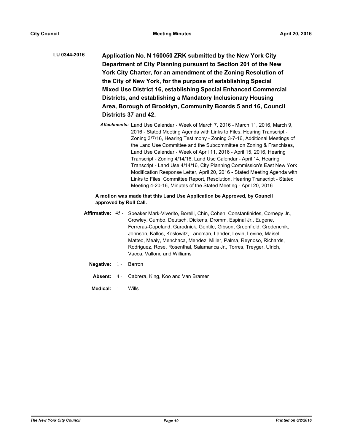- **Application No. N 160050 ZRK submitted by the New York City Department of City Planning pursuant to Section 201 of the New York City Charter, for an amendment of the Zoning Resolution of the City of New York, for the purpose of establishing Special Mixed Use District 16, establishing Special Enhanced Commercial Districts, and establishing a Mandatory Inclusionary Housing Area, Borough of Brooklyn, Community Boards 5 and 16, Council Districts 37 and 42. LU 0344-2016**
	- *Attachments:* Land Use Calendar Week of March 7, 2016 March 11, 2016, March 9, 2016 - Stated Meeting Agenda with Links to Files, Hearing Transcript - Zoning 3/7/16, Hearing Testimony - Zoning 3-7-16, Additional Meetings of the Land Use Committee and the Subcommittee on Zoning & Franchises, Land Use Calendar - Week of April 11, 2016 - April 15, 2016, Hearing Transcript - Zoning 4/14/16, Land Use Calendar - April 14, Hearing Transcript - Land Use 4/14/16, City Planning Commission's East New York Modification Response Letter, April 20, 2016 - Stated Meeting Agenda with Links to Files, Committee Report, Resolution, Hearing Transcript - Stated Meeting 4-20-16, Minutes of the Stated Meeting - April 20, 2016

- Affirmative: 45 Speaker Mark-Viverito, Borelli, Chin, Cohen, Constantinides, Cornegy Jr., Crowley, Cumbo, Deutsch, Dickens, Dromm, Espinal Jr., Eugene, Ferreras-Copeland, Garodnick, Gentile, Gibson, Greenfield, Grodenchik, Johnson, Kallos, Koslowitz, Lancman, Lander, Levin, Levine, Maisel, Matteo, Mealy, Menchaca, Mendez, Miller, Palma, Reynoso, Richards, Rodriguez, Rose, Rosenthal, Salamanca Jr., Torres, Treyger, Ulrich, Vacca, Vallone and Williams
	- **Negative:** 1 Barron
		- **Absent:** 4 Cabrera, King, Koo and Van Bramer
		- **Medical:** 1 Wills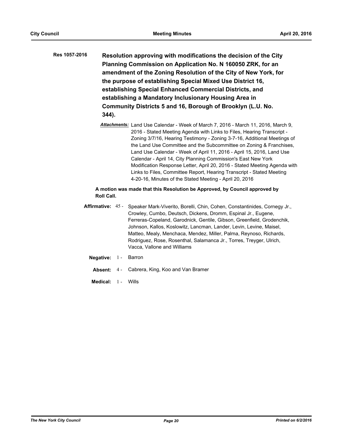| Res 1057-2016 | Resolution approving with modifications the decision of the City |
|---------------|------------------------------------------------------------------|
|               | Planning Commission on Application No. N 160050 ZRK, for an      |
|               | amendment of the Zoning Resolution of the City of New York, for  |
|               | the purpose of establishing Special Mixed Use District 16,       |
|               | establishing Special Enhanced Commercial Districts, and          |
|               | establishing a Mandatory Inclusionary Housing Area in            |
|               | Community Districts 5 and 16, Borough of Brooklyn (L.U. No.      |
|               | $344$ ).                                                         |
|               |                                                                  |

*Attachments:* Land Use Calendar - Week of March 7, 2016 - March 11, 2016, March 9, 2016 - Stated Meeting Agenda with Links to Files, Hearing Transcript - Zoning 3/7/16, Hearing Testimony - Zoning 3-7-16, Additional Meetings of the Land Use Committee and the Subcommittee on Zoning & Franchises, Land Use Calendar - Week of April 11, 2016 - April 15, 2016, Land Use Calendar - April 14, City Planning Commission's East New York Modification Response Letter, April 20, 2016 - Stated Meeting Agenda with Links to Files, Committee Report, Hearing Transcript - Stated Meeting 4-20-16, Minutes of the Stated Meeting - April 20, 2016

## **A motion was made that this Resolution be Approved, by Council approved by Roll Call.**

- Affirmative: 45 Speaker Mark-Viverito, Borelli, Chin, Cohen, Constantinides, Cornegy Jr., Crowley, Cumbo, Deutsch, Dickens, Dromm, Espinal Jr., Eugene, Ferreras-Copeland, Garodnick, Gentile, Gibson, Greenfield, Grodenchik, Johnson, Kallos, Koslowitz, Lancman, Lander, Levin, Levine, Maisel, Matteo, Mealy, Menchaca, Mendez, Miller, Palma, Reynoso, Richards, Rodriguez, Rose, Rosenthal, Salamanca Jr., Torres, Treyger, Ulrich, Vacca, Vallone and Williams
	- **Negative:** 1 Barron
		- **Absent:** 4 Cabrera, King, Koo and Van Bramer
	- **Medical:** 1 Wills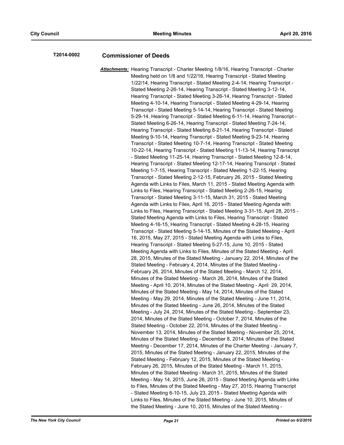## **T2014-0002 Commissioner of Deeds**

*Attachments:* Hearing Transcript - Charter Meeting 1/8/16, Hearing Transcript - Charter Meeting held on 1/8 and 1/22/16, Hearing Transcript - Stated Meeting 1/22/14, Hearing Transcript - Stated Meeting 2-4-14, Hearing Transcript - Stated Meeting 2-26-14, Hearing Transcript - Stated Meeting 3-12-14, Hearing Transcript - Stated Meeting 3-26-14, Hearing Transcript - Stated Meeting 4-10-14, Hearing Transcript - Stated Meeting 4-29-14, Hearing Transcript - Stated Meeting 5-14-14, Hearing Transcript - Stated Meeting 5-29-14, Hearing Transcript - Stated Meeting 6-11-14, Hearing Transcript - Stated Meeting 6-26-14, Hearing Transcript - Stated Meeting 7-24-14, Hearing Transcript - Stated Meeting 8-21-14, Hearing Transcript - Stated Meeting 9-10-14, Hearing Transcript - Stated Meeting 9-23-14, Hearing Transcript - Stated Meeting 10-7-14, Hearing Transcript - Stated Meeting 10-22-14, Hearing Transcript - Stated Meeting 11-13-14, Hearing Transcript - Stated Meeting 11-25-14, Hearing Transcript - Stated Meeting 12-8-14, Hearing Transcript - Stated Meeting 12-17-14, Hearing Transcript - Stated Meeting 1-7-15, Hearing Transcript - Stated Meeting 1-22-15, Hearing Transcript - Stated Meeting 2-12-15, February 26, 2015 - Stated Meeting Agenda with Links to Files, March 11, 2015 - Stated Meeting Agenda with Links to Files, Hearing Transcript - Stated Meeting 2-26-15, Hearing Transcript - Stated Meeting 3-11-15, March 31, 2015 - Stated Meeting Agenda with Links to Files, April 16, 2015 - Stated Meeting Agenda with Links to Files, Hearing Transcript - Stated Meeting 3-31-15, April 28, 2015 - Stated Meeting Agenda with Links to Files, Hearing Transcript - Stated Meeting 4-16-15, Hearing Transcript - Stated Meeting 4-28-15, Hearing Transcript - Stated Meeting 5-14-15, Minutes of the Stated Meeting - April 16, 2015, May 27, 2015 - Stated Meeting Agenda with Links to Files, Hearing Transcript - Stated Meeting 5-27-15, June 10, 2015 - Stated Meeting Agenda with Links to Files, Minutes of the Stated Meeting - April 28, 2015, Minutes of the Stated Meeting - January 22, 2014, Minutes of the Stated Meeting - February 4, 2014, Minutes of the Stated Meeting - February 26, 2014, Minutes of the Stated Meeting - March 12, 2014, Minutes of the Stated Meeting - March 26, 2014, Minutes of the Stated Meeting - April 10, 2014, Minutes of the Stated Meeting - April 29, 2014, Minutes of the Stated Meeting - May 14, 2014, Minutes of the Stated Meeting - May 29, 2014, Minutes of the Stated Meeting - June 11, 2014, Minutes of the Stated Meeting - June 26, 2014, Minutes of the Stated Meeting - July 24, 2014, Minutes of the Stated Meeting - September 23, 2014, Minutes of the Stated Meeting - October 7, 2014, Minutes of the Stated Meeting - October 22, 2014, Minutes of the Stated Meeting - November 13, 2014, Minutes of the Stated Meeting - November 25, 2014, Minutes of the Stated Meeting - December 8, 2014, Minutes of the Stated Meeting - December 17, 2014, Minutes of the Charter Meeting - January 7, 2015, Minutes of the Stated Meeting - January 22, 2015, Minutes of the Stated Meeting - February 12, 2015, Minutes of the Stated Meeting - February 26, 2015, Minutes of the Stated Meeting - March 11, 2015, Minutes of the Stated Meeting - March 31, 2015, Minutes of the Stated Meeting - May 14, 2015, June 26, 2015 - Stated Meeting Agenda with Links to Files, Minutes of the Stated Meeting - May 27, 2015, Hearing Transcript - Stated Meeting 6-10-15, July 23, 2015 - Stated Meeting Agenda with Links to Files, Minutes of the Stated Meeting - June 10, 2015, Minutes of the Stated Meeting - June 10, 2015, Minutes of the Stated Meeting -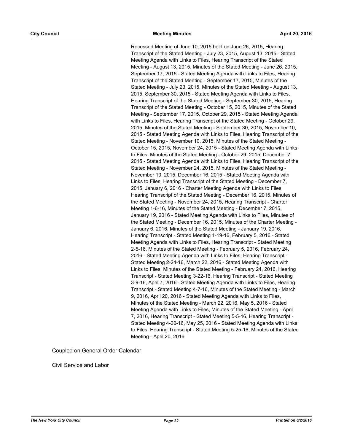Recessed Meeting of June 10, 2015 held on June 26, 2015, Hearing Transcript of the Stated Meeting - July 23, 2015, August 13, 2015 - Stated Meeting Agenda with Links to Files, Hearing Transcript of the Stated Meeting - August 13, 2015, Minutes of the Stated Meeting - June 26, 2015, September 17, 2015 - Stated Meeting Agenda with Links to Files, Hearing Transcript of the Stated Meeting - September 17, 2015, Minutes of the Stated Meeting - July 23, 2015, Minutes of the Stated Meeting - August 13, 2015, September 30, 2015 - Stated Meeting Agenda with Links to Files, Hearing Transcript of the Stated Meeting - September 30, 2015, Hearing Transcript of the Stated Meeting - October 15, 2015, Minutes of the Stated Meeting - September 17, 2015, October 29, 2015 - Stated Meeting Agenda with Links to Files, Hearing Transcript of the Stated Meeting - October 29, 2015, Minutes of the Stated Meeting - September 30, 2015, November 10, 2015 - Stated Meeting Agenda with Links to Files, Hearing Transcript of the Stated Meeting - November 10, 2015, Minutes of the Stated Meeting - October 15, 2015, November 24, 2015 - Stated Meeting Agenda with Links to Files, Minutes of the Stated Meeting - October 29, 2015, December 7, 2015 - Stated Meeting Agenda with Links to Files, Hearing Transcript of the Stated Meeting - November 24, 2015, Minutes of the Stated Meeting - November 10, 2015, December 16, 2015 - Stated Meeting Agenda with Links to Files, Hearing Transcript of the Stated Meeting - December 7, 2015, January 6, 2016 - Charter Meeting Agenda with Links to Files, Hearing Transcript of the Stated Meeting - December 16, 2015, Minutes of the Stated Meeting - November 24, 2015, Hearing Transcript - Charter Meeting 1-6-16, Minutes of the Stated Meeting - December 7, 2015, January 19, 2016 - Stated Meeting Agenda with Links to Files, Minutes of the Stated Meeting - December 16, 2015, Minutes of the Charter Meeting - January 6, 2016, Minutes of the Stated Meeting - January 19, 2016, Hearing Transcript - Stated Meeting 1-19-16, February 5, 2016 - Stated Meeting Agenda with Links to Files, Hearing Transcript - Stated Meeting 2-5-16, Minutes of the Stated Meeting - February 5, 2016, February 24, 2016 - Stated Meeting Agenda with Links to Files, Hearing Transcript - Stated Meeting 2-24-16, March 22, 2016 - Stated Meeting Agenda with Links to Files, Minutes of the Stated Meeting - February 24, 2016, Hearing Transcript - Stated Meeting 3-22-16, Hearing Transcript - Stated Meeting 3-9-16, April 7, 2016 - Stated Meeting Agenda with Links to Files, Hearing Transcript - Stated Meeting 4-7-16, Minutes of the Stated Meeting - March 9, 2016, April 20, 2016 - Stated Meeting Agenda with Links to Files, Minutes of the Stated Meeting - March 22, 2016, May 5, 2016 - Stated Meeting Agenda with Links to Files, Minutes of the Stated Meeting - April 7, 2016, Hearing Transcript - Stated Meeting 5-5-16, Hearing Transcript - Stated Meeting 4-20-16, May 25, 2016 - Stated Meeting Agenda with Links to Files, Hearing Transcript - Stated Meeting 5-25-16, Minutes of the Stated Meeting - April 20, 2016

Coupled on General Order Calendar

Civil Service and Labor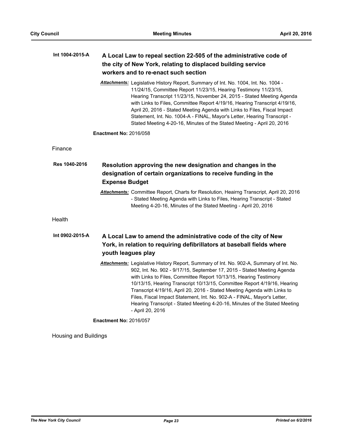| Int 1004-2015-A | A Local Law to repeal section 22-505 of the administrative code of                                                                                                                                                                                                                                                                                                                                                                                                                                                                                                           |
|-----------------|------------------------------------------------------------------------------------------------------------------------------------------------------------------------------------------------------------------------------------------------------------------------------------------------------------------------------------------------------------------------------------------------------------------------------------------------------------------------------------------------------------------------------------------------------------------------------|
|                 | the city of New York, relating to displaced building service                                                                                                                                                                                                                                                                                                                                                                                                                                                                                                                 |
|                 | workers and to re-enact such section                                                                                                                                                                                                                                                                                                                                                                                                                                                                                                                                         |
|                 | Attachments: Legislative History Report, Summary of Int. No. 1004, Int. No. 1004 -<br>11/24/15, Committee Report 11/23/15, Hearing Testimony 11/23/15,<br>Hearing Transcript 11/23/15, November 24, 2015 - Stated Meeting Agenda<br>with Links to Files, Committee Report 4/19/16, Hearing Transcript 4/19/16,<br>April 20, 2016 - Stated Meeting Agenda with Links to Files, Fiscal Impact<br>Statement, Int. No. 1004-A - FINAL, Mayor's Letter, Hearing Transcript -<br>Stated Meeting 4-20-16, Minutes of the Stated Meeting - April 20, 2016                            |
|                 | <b>Enactment No: 2016/058</b>                                                                                                                                                                                                                                                                                                                                                                                                                                                                                                                                                |
| Finance         |                                                                                                                                                                                                                                                                                                                                                                                                                                                                                                                                                                              |
| Res 1040-2016   | Resolution approving the new designation and changes in the                                                                                                                                                                                                                                                                                                                                                                                                                                                                                                                  |
|                 | designation of certain organizations to receive funding in the                                                                                                                                                                                                                                                                                                                                                                                                                                                                                                               |
|                 | <b>Expense Budget</b>                                                                                                                                                                                                                                                                                                                                                                                                                                                                                                                                                        |
|                 | Attachments: Committee Report, Charts for Resolution, Heairng Transcript, April 20, 2016<br>- Stated Meeting Agenda with Links to Files, Hearing Transcript - Stated<br>Meeting 4-20-16, Minutes of the Stated Meeting - April 20, 2016                                                                                                                                                                                                                                                                                                                                      |
| Health          |                                                                                                                                                                                                                                                                                                                                                                                                                                                                                                                                                                              |
| Int 0902-2015-A | A Local Law to amend the administrative code of the city of New<br>York, in relation to requiring defibrillators at baseball fields where<br>youth leagues play                                                                                                                                                                                                                                                                                                                                                                                                              |
|                 | Attachments: Legislative History Report, Summary of Int. No. 902-A, Summary of Int. No.<br>902, Int. No. 902 - 9/17/15, September 17, 2015 - Stated Meeting Agenda<br>with Links to Files, Committee Report 10/13/15, Hearing Testimony<br>10/13/15, Hearing Transcript 10/13/15, Committee Report 4/19/16, Hearing<br>Transcript 4/19/16, April 20, 2016 - Stated Meeting Agenda with Links to<br>Files, Fiscal Impact Statement, Int. No. 902-A - FINAL, Mayor's Letter,<br>Hearing Transcript - Stated Meeting 4-20-16, Minutes of the Stated Meeting<br>- April 20, 2016 |
|                 | <b>Enactment No: 2016/057</b>                                                                                                                                                                                                                                                                                                                                                                                                                                                                                                                                                |

Housing and Buildings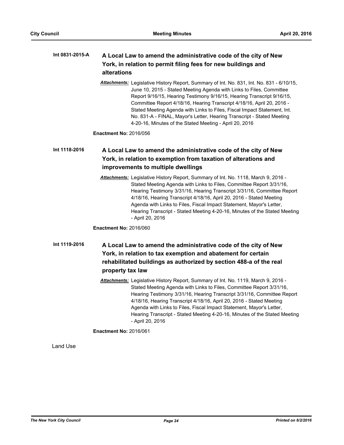#### **A Local Law to amend the administrative code of the city of New York, in relation to permit filing fees for new buildings and alterations Int 0831-2015-A**

*Attachments:* Legislative History Report, Summary of Int. No. 831, Int. No. 831 - 6/10/15, June 10, 2015 - Stated Meeting Agenda with Links to Files, Committee Report 9/16/15, Hearing Testimony 9/16/15, Hearing Transcript 9/16/15, Committee Report 4/18/16, Hearing Transcript 4/18/16, April 20, 2016 - Stated Meeting Agenda with Links to Files, Fiscal Impact Statement, Int. No. 831-A - FINAL, Mayor's Letter, Hearing Transcript - Stated Meeting 4-20-16, Minutes of the Stated Meeting - April 20, 2016

**Enactment No:** 2016/056

#### **A Local Law to amend the administrative code of the city of New York, in relation to exemption from taxation of alterations and improvements to multiple dwellings Int 1118-2016**

*Attachments:* Legislative History Report, Summary of Int. No. 1118, March 9, 2016 - Stated Meeting Agenda with Links to Files, Committee Report 3/31/16, Hearing Testimony 3/31/16, Hearing Transcript 3/31/16, Committee Report 4/18/16, Hearing Transcript 4/18/16, April 20, 2016 - Stated Meeting Agenda with Links to Files, Fiscal Impact Statement, Mayor's Letter, Hearing Transcript - Stated Meeting 4-20-16, Minutes of the Stated Meeting - April 20, 2016

**Enactment No:** 2016/060

## **A Local Law to amend the administrative code of the city of New York, in relation to tax exemption and abatement for certain rehabilitated buildings as authorized by section 488-a of the real property tax law Int 1119-2016**

*Attachments:* Legislative History Report, Summary of Int. No. 1119, March 9, 2016 - Stated Meeting Agenda with Links to Files, Committee Report 3/31/16, Hearing Testimony 3/31/16, Hearing Transcript 3/31/16, Committee Report 4/18/16, Hearing Transcript 4/18/16, April 20, 2016 - Stated Meeting Agenda with Links to Files, Fiscal Impact Statement, Mayor's Letter, Hearing Transcript - Stated Meeting 4-20-16, Minutes of the Stated Meeting - April 20, 2016

**Enactment No:** 2016/061

Land Use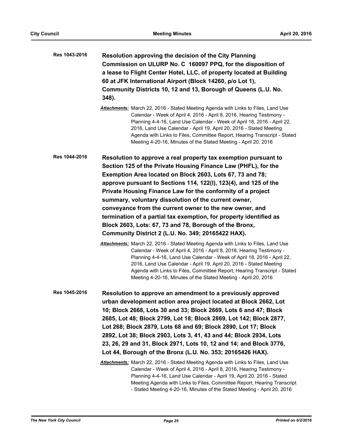| Res 1043-2016 | Resolution approving the decision of the City Planning<br>Commission on ULURP No. C 160097 PPQ, for the disposition of<br>a lease to Flight Center Hotel, LLC, of property located at Building<br>60 at JFK International Airport (Block 14260, p/o Lot 1),<br>Community Districts 10, 12 and 13, Borough of Queens (L.U. No.<br>348).<br>Attachments: March 22, 2016 - Stated Meeting Agenda with Links to Files, Land Use                                                                                                                                                                                                                                                                                                                                                                                                                                                                                                                                                                                                                                                                                |
|---------------|------------------------------------------------------------------------------------------------------------------------------------------------------------------------------------------------------------------------------------------------------------------------------------------------------------------------------------------------------------------------------------------------------------------------------------------------------------------------------------------------------------------------------------------------------------------------------------------------------------------------------------------------------------------------------------------------------------------------------------------------------------------------------------------------------------------------------------------------------------------------------------------------------------------------------------------------------------------------------------------------------------------------------------------------------------------------------------------------------------|
|               | Calendar - Week of April 4, 2016 - April 8, 2016, Hearing Testimony -<br>Planning 4-4-16, Land Use Calendar - Week of April 18, 2016 - April 22,<br>2016, Land Use Calendar - April 19, April 20, 2016 - Stated Meeting<br>Agenda with Links to Files, Committee Report, Hearing Transcript - Stated<br>Meeting 4-20-16, Minutes of the Stated Meeting - April 20, 2016                                                                                                                                                                                                                                                                                                                                                                                                                                                                                                                                                                                                                                                                                                                                    |
| Res 1044-2016 | Resolution to approve a real property tax exemption pursuant to<br>Section 125 of the Private Housing Finance Law (PHFL), for the<br>Exemption Area located on Block 2603, Lots 67, 73 and 78;<br>approve pursuant to Sections 114, 122(I), 123(4), and 125 of the<br>Private Housing Finance Law for the conformity of a project<br>summary, voluntary dissolution of the current owner,<br>conveyance from the current owner to the new owner, and<br>termination of a partial tax exemption, for property identified as<br>Block 2603, Lots: 67, 73 and 78, Borough of the Bronx,<br>Community District 2 (L.U. No. 349; 20165422 HAX).<br>Attachments: March 22, 2016 - Stated Meeting Agenda with Links to Files, Land Use<br>Calendar - Week of April 4, 2016 - April 8, 2016, Hearing Testimony -<br>Planning 4-4-16, Land Use Calendar - Week of April 18, 2016 - April 22,<br>2016, Land Use Calendar - April 19, April 20, 2016 - Stated Meeting<br>Agenda with Links to Files, Committee Report, Hearing Transcript - Stated<br>Meeting 4-20-16, Minutes of the Stated Meeting - April 20, 2016 |
| Res 1045-2016 | Resolution to approve an amendment to a previously approved<br>urban development action area project located at Block 2662, Lot<br>10; Block 2668, Lots 30 and 33; Block 2669, Lots 6 and 47; Block<br>2685, Lot 48; Block 2799, Lot 18; Block 2869, Lot 142; Block 2877,<br>Lot 268; Block 2879, Lots 68 and 69; Block 2890, Lot 17; Block<br>2892, Lot 38; Block 2903, Lots 3, 41, 43 and 44; Block 2934, Lots<br>23, 26, 29 and 31, Block 2971, Lots 10, 12 and 14; and Block 3776,<br>Lot 44, Borough of the Bronx (L.U. No. 353; 20165426 HAX).<br>Attachments: March 22, 2016 - Stated Meeting Agenda with Links to Files, Land Use                                                                                                                                                                                                                                                                                                                                                                                                                                                                  |
|               | Calendar - Week of April 4, 2016 - April 8, 2016, Hearing Testimony -<br>Planning 4-4-16, Land Use Calendar - April 19, April 20, 2016 - Stated<br>Meeting Agenda with Links to Files, Committee Report, Hearing Transcript<br>- Stated Meeting 4-20-16, Minutes of the Stated Meeting - April 20, 2016                                                                                                                                                                                                                                                                                                                                                                                                                                                                                                                                                                                                                                                                                                                                                                                                    |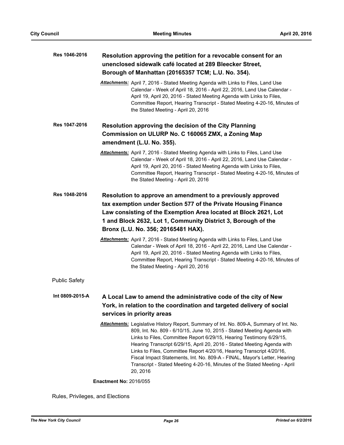| Res 1046-2016        | Resolution approving the petition for a revocable consent for an<br>unenclosed sidewalk café located at 289 Bleecker Street,<br>Borough of Manhattan (20165357 TCM; L.U. No. 354).                                                                                                                                                                                                                                                                                                                                                                                    |
|----------------------|-----------------------------------------------------------------------------------------------------------------------------------------------------------------------------------------------------------------------------------------------------------------------------------------------------------------------------------------------------------------------------------------------------------------------------------------------------------------------------------------------------------------------------------------------------------------------|
|                      | Attachments: April 7, 2016 - Stated Meeting Agenda with Links to Files, Land Use<br>Calendar - Week of April 18, 2016 - April 22, 2016, Land Use Calendar -<br>April 19, April 20, 2016 - Stated Meeting Agenda with Links to Files,<br>Committee Report, Hearing Transcript - Stated Meeting 4-20-16, Minutes of<br>the Stated Meeting - April 20, 2016                                                                                                                                                                                                              |
| Res 1047-2016        | Resolution approving the decision of the City Planning                                                                                                                                                                                                                                                                                                                                                                                                                                                                                                                |
|                      | Commission on ULURP No. C 160065 ZMX, a Zoning Map                                                                                                                                                                                                                                                                                                                                                                                                                                                                                                                    |
|                      | amendment (L.U. No. 355).                                                                                                                                                                                                                                                                                                                                                                                                                                                                                                                                             |
|                      | Attachments: April 7, 2016 - Stated Meeting Agenda with Links to Files, Land Use<br>Calendar - Week of April 18, 2016 - April 22, 2016, Land Use Calendar -<br>April 19, April 20, 2016 - Stated Meeting Agenda with Links to Files,<br>Committee Report, Hearing Transcript - Stated Meeting 4-20-16, Minutes of<br>the Stated Meeting - April 20, 2016                                                                                                                                                                                                              |
| Res 1048-2016        | Resolution to approve an amendment to a previously approved<br>tax exemption under Section 577 of the Private Housing Finance<br>Law consisting of the Exemption Area located at Block 2621, Lot<br>1 and Block 2632, Lot 1, Community District 3, Borough of the<br>Bronx (L.U. No. 356; 20165481 HAX).                                                                                                                                                                                                                                                              |
|                      | Attachments: April 7, 2016 - Stated Meeting Agenda with Links to Files, Land Use<br>Calendar - Week of April 18, 2016 - April 22, 2016, Land Use Calendar -<br>April 19, April 20, 2016 - Stated Meeting Agenda with Links to Files,<br>Committee Report, Hearing Transcript - Stated Meeting 4-20-16, Minutes of<br>the Stated Meeting - April 20, 2016                                                                                                                                                                                                              |
| <b>Public Safety</b> |                                                                                                                                                                                                                                                                                                                                                                                                                                                                                                                                                                       |
| Int 0809-2015-A      | A Local Law to amend the administrative code of the city of New                                                                                                                                                                                                                                                                                                                                                                                                                                                                                                       |
|                      | York, in relation to the coordination and targeted delivery of social                                                                                                                                                                                                                                                                                                                                                                                                                                                                                                 |
|                      | services in priority areas                                                                                                                                                                                                                                                                                                                                                                                                                                                                                                                                            |
|                      | Attachments: Legislative History Report, Summary of Int. No. 809-A, Summary of Int. No.<br>809, Int. No. 809 - 6/10/15, June 10, 2015 - Stated Meeting Agenda with<br>Links to Files, Committee Report 6/29/15, Hearing Testimony 6/29/15,<br>Hearing Transcript 6/29/15, April 20, 2016 - Stated Meeting Agenda with<br>Links to Files, Committee Report 4/20/16, Hearing Transcript 4/20/16,<br>Fiscal Impact Statements, Int. No. 809-A - FINAL, Mayor's Letter, Hearing<br>Transcript - Stated Meeting 4-20-16, Minutes of the Stated Meeting - April<br>20, 2016 |
|                      | <b>Enactment No: 2016/055</b>                                                                                                                                                                                                                                                                                                                                                                                                                                                                                                                                         |

Rules, Privileges, and Elections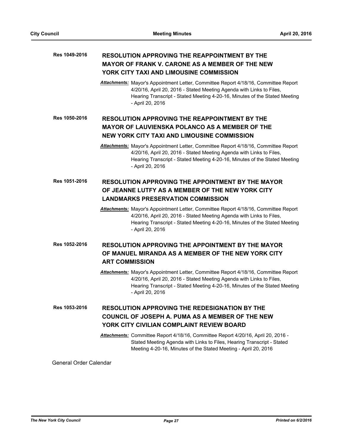#### **RESOLUTION APPROVING THE REAPPOINTMENT BY THE MAYOR OF FRANK V. CARONE AS A MEMBER OF THE NEW YORK CITY TAXI AND LIMOUSINE COMMISSION Res 1049-2016**

*Attachments:* Mayor's Appointment Letter, Committee Report 4/18/16, Committee Report 4/20/16, April 20, 2016 - Stated Meeting Agenda with Links to Files, Hearing Transcript - Stated Meeting 4-20-16, Minutes of the Stated Meeting - April 20, 2016

**RESOLUTION APPROVING THE REAPPOINTMENT BY THE MAYOR OF LAUVIENSKA POLANCO AS A MEMBER OF THE NEW YORK CITY TAXI AND LIMOUSINE COMMISSION Res 1050-2016**

> *Attachments:* Mayor's Appointment Letter, Committee Report 4/18/16, Committee Report 4/20/16, April 20, 2016 - Stated Meeting Agenda with Links to Files, Hearing Transcript - Stated Meeting 4-20-16, Minutes of the Stated Meeting - April 20, 2016

#### **RESOLUTION APPROVING THE APPOINTMENT BY THE MAYOR OF JEANNE LUTFY AS A MEMBER OF THE NEW YORK CITY LANDMARKS PRESERVATION COMMISSION Res 1051-2016**

*Attachments:* Mayor's Appointment Letter, Committee Report 4/18/16, Committee Report 4/20/16, April 20, 2016 - Stated Meeting Agenda with Links to Files, Hearing Transcript - Stated Meeting 4-20-16, Minutes of the Stated Meeting - April 20, 2016

**RESOLUTION APPROVING THE APPOINTMENT BY THE MAYOR OF MANUEL MIRANDA AS A MEMBER OF THE NEW YORK CITY ART COMMISSION Res 1052-2016**

> *Attachments:* Mayor's Appointment Letter, Committee Report 4/18/16, Committee Report 4/20/16, April 20, 2016 - Stated Meeting Agenda with Links to Files, Hearing Transcript - Stated Meeting 4-20-16, Minutes of the Stated Meeting - April 20, 2016

**RESOLUTION APPROVING THE REDESIGNATION BY THE COUNCIL OF JOSEPH A. PUMA AS A MEMBER OF THE NEW YORK CITY CIVILIAN COMPLAINT REVIEW BOARD Res 1053-2016**

> *Attachments:* Committee Report 4/18/16, Committee Report 4/20/16, April 20, 2016 - Stated Meeting Agenda with Links to Files, Hearing Transcript - Stated Meeting 4-20-16, Minutes of the Stated Meeting - April 20, 2016

General Order Calendar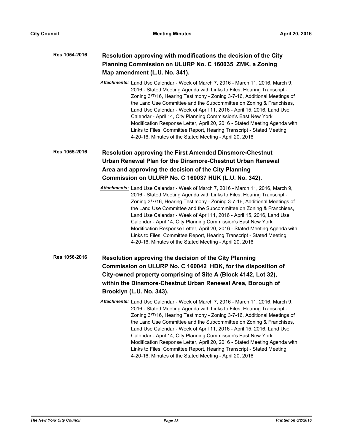| Res 1054-2016 | Resolution approving with modifications the decision of the City<br>Planning Commission on ULURP No. C 160035 ZMK, a Zoning<br>Map amendment (L.U. No. 341).                                                                                                                                                                                                                                                                                                                                                                                                                                                                                                              |
|---------------|---------------------------------------------------------------------------------------------------------------------------------------------------------------------------------------------------------------------------------------------------------------------------------------------------------------------------------------------------------------------------------------------------------------------------------------------------------------------------------------------------------------------------------------------------------------------------------------------------------------------------------------------------------------------------|
|               | Attachments: Land Use Calendar - Week of March 7, 2016 - March 11, 2016, March 9,<br>2016 - Stated Meeting Agenda with Links to Files, Hearing Transcript -<br>Zoning 3/7/16, Hearing Testimony - Zoning 3-7-16, Additional Meetings of<br>the Land Use Committee and the Subcommittee on Zoning & Franchises,<br>Land Use Calendar - Week of April 11, 2016 - April 15, 2016, Land Use<br>Calendar - April 14, City Planning Commission's East New York<br>Modification Response Letter, April 20, 2016 - Stated Meeting Agenda with<br>Links to Files, Committee Report, Hearing Transcript - Stated Meeting<br>4-20-16, Minutes of the Stated Meeting - April 20, 2016 |
| Res 1055-2016 | <b>Resolution approving the First Amended Dinsmore-Chestnut</b>                                                                                                                                                                                                                                                                                                                                                                                                                                                                                                                                                                                                           |
|               | Urban Renewal Plan for the Dinsmore-Chestnut Urban Renewal                                                                                                                                                                                                                                                                                                                                                                                                                                                                                                                                                                                                                |
|               | Area and approving the decision of the City Planning<br>Commission on ULURP No. C 160037 HUK (L.U. No. 342).                                                                                                                                                                                                                                                                                                                                                                                                                                                                                                                                                              |
|               |                                                                                                                                                                                                                                                                                                                                                                                                                                                                                                                                                                                                                                                                           |
|               | Attachments: Land Use Calendar - Week of March 7, 2016 - March 11, 2016, March 9,<br>2016 - Stated Meeting Agenda with Links to Files, Hearing Transcript -<br>Zoning 3/7/16, Hearing Testimony - Zoning 3-7-16, Additional Meetings of<br>the Land Use Committee and the Subcommittee on Zoning & Franchises,<br>Land Use Calendar - Week of April 11, 2016 - April 15, 2016, Land Use<br>Calendar - April 14, City Planning Commission's East New York<br>Modification Response Letter, April 20, 2016 - Stated Meeting Agenda with<br>Links to Files, Committee Report, Hearing Transcript - Stated Meeting<br>4-20-16, Minutes of the Stated Meeting - April 20, 2016 |
| Res 1056-2016 | Resolution approving the decision of the City Planning                                                                                                                                                                                                                                                                                                                                                                                                                                                                                                                                                                                                                    |
|               | Commission on ULURP No. C 160042 HDK, for the disposition of                                                                                                                                                                                                                                                                                                                                                                                                                                                                                                                                                                                                              |
|               | City-owned property comprising of Site A (Block 4142, Lot 32),                                                                                                                                                                                                                                                                                                                                                                                                                                                                                                                                                                                                            |
|               | within the Dinsmore-Chestnut Urban Renewal Area, Borough of                                                                                                                                                                                                                                                                                                                                                                                                                                                                                                                                                                                                               |
|               | Brooklyn (L.U. No. 343).                                                                                                                                                                                                                                                                                                                                                                                                                                                                                                                                                                                                                                                  |
|               | Attachments: Land Use Calendar - Week of March 7, 2016 - March 11, 2016, March 9.<br>2016 - Stated Meeting Agenda with Links to Files, Hearing Transcript -<br>Zoning 3/7/16, Hearing Testimony - Zoning 3-7-16, Additional Meetings of<br>the Land Use Committee and the Subcommittee on Zoning & Franchises,<br>Land Use Calendar - Week of April 11, 2016 - April 15, 2016, Land Use<br>Calendar - April 14, City Planning Commission's East New York<br>Modification Response Letter, April 20, 2016 - Stated Meeting Agenda with<br>Links to Files, Committee Report, Hearing Transcript - Stated Meeting<br>4-20-16, Minutes of the Stated Meeting - April 20, 2016 |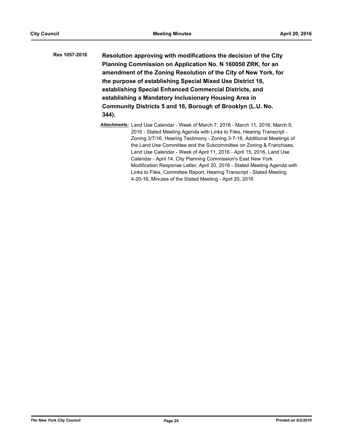| Res 1057-2016 | Resolution approving with modifications the decision of the City<br>Planning Commission on Application No. N 160050 ZRK, for an<br>amendment of the Zoning Resolution of the City of New York, for                                                        |
|---------------|-----------------------------------------------------------------------------------------------------------------------------------------------------------------------------------------------------------------------------------------------------------|
|               | the purpose of establishing Special Mixed Use District 16,<br>establishing Special Enhanced Commercial Districts, and<br>establishing a Mandatory Inclusionary Housing Area in<br>Community Districts 5 and 16, Borough of Brooklyn (L.U. No.<br>$344$ ). |

*Attachments:* Land Use Calendar - Week of March 7, 2016 - March 11, 2016, March 9, 2016 - Stated Meeting Agenda with Links to Files, Hearing Transcript - Zoning 3/7/16, Hearing Testimony - Zoning 3-7-16, Additional Meetings of the Land Use Committee and the Subcommittee on Zoning & Franchises, Land Use Calendar - Week of April 11, 2016 - April 15, 2016, Land Use Calendar - April 14, City Planning Commission's East New York Modification Response Letter, April 20, 2016 - Stated Meeting Agenda with Links to Files, Committee Report, Hearing Transcript - Stated Meeting 4-20-16, Minutes of the Stated Meeting - April 20, 2016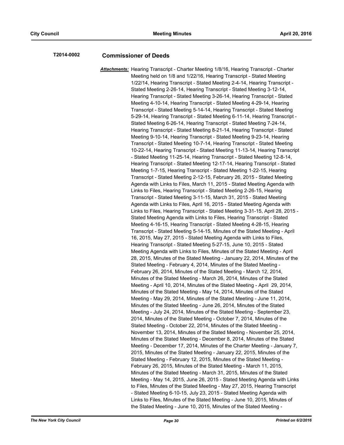## **T2014-0002 Commissioner of Deeds**

*Attachments:* Hearing Transcript - Charter Meeting 1/8/16, Hearing Transcript - Charter Meeting held on 1/8 and 1/22/16, Hearing Transcript - Stated Meeting 1/22/14, Hearing Transcript - Stated Meeting 2-4-14, Hearing Transcript - Stated Meeting 2-26-14, Hearing Transcript - Stated Meeting 3-12-14, Hearing Transcript - Stated Meeting 3-26-14, Hearing Transcript - Stated Meeting 4-10-14, Hearing Transcript - Stated Meeting 4-29-14, Hearing Transcript - Stated Meeting 5-14-14, Hearing Transcript - Stated Meeting 5-29-14, Hearing Transcript - Stated Meeting 6-11-14, Hearing Transcript - Stated Meeting 6-26-14, Hearing Transcript - Stated Meeting 7-24-14, Hearing Transcript - Stated Meeting 8-21-14, Hearing Transcript - Stated Meeting 9-10-14, Hearing Transcript - Stated Meeting 9-23-14, Hearing Transcript - Stated Meeting 10-7-14, Hearing Transcript - Stated Meeting 10-22-14, Hearing Transcript - Stated Meeting 11-13-14, Hearing Transcript - Stated Meeting 11-25-14, Hearing Transcript - Stated Meeting 12-8-14, Hearing Transcript - Stated Meeting 12-17-14, Hearing Transcript - Stated Meeting 1-7-15, Hearing Transcript - Stated Meeting 1-22-15, Hearing Transcript - Stated Meeting 2-12-15, February 26, 2015 - Stated Meeting Agenda with Links to Files, March 11, 2015 - Stated Meeting Agenda with Links to Files, Hearing Transcript - Stated Meeting 2-26-15, Hearing Transcript - Stated Meeting 3-11-15, March 31, 2015 - Stated Meeting Agenda with Links to Files, April 16, 2015 - Stated Meeting Agenda with Links to Files, Hearing Transcript - Stated Meeting 3-31-15, April 28, 2015 - Stated Meeting Agenda with Links to Files, Hearing Transcript - Stated Meeting 4-16-15, Hearing Transcript - Stated Meeting 4-28-15, Hearing Transcript - Stated Meeting 5-14-15, Minutes of the Stated Meeting - April 16, 2015, May 27, 2015 - Stated Meeting Agenda with Links to Files, Hearing Transcript - Stated Meeting 5-27-15, June 10, 2015 - Stated Meeting Agenda with Links to Files, Minutes of the Stated Meeting - April 28, 2015, Minutes of the Stated Meeting - January 22, 2014, Minutes of the Stated Meeting - February 4, 2014, Minutes of the Stated Meeting - February 26, 2014, Minutes of the Stated Meeting - March 12, 2014, Minutes of the Stated Meeting - March 26, 2014, Minutes of the Stated Meeting - April 10, 2014, Minutes of the Stated Meeting - April 29, 2014, Minutes of the Stated Meeting - May 14, 2014, Minutes of the Stated Meeting - May 29, 2014, Minutes of the Stated Meeting - June 11, 2014, Minutes of the Stated Meeting - June 26, 2014, Minutes of the Stated Meeting - July 24, 2014, Minutes of the Stated Meeting - September 23, 2014, Minutes of the Stated Meeting - October 7, 2014, Minutes of the Stated Meeting - October 22, 2014, Minutes of the Stated Meeting - November 13, 2014, Minutes of the Stated Meeting - November 25, 2014, Minutes of the Stated Meeting - December 8, 2014, Minutes of the Stated Meeting - December 17, 2014, Minutes of the Charter Meeting - January 7, 2015, Minutes of the Stated Meeting - January 22, 2015, Minutes of the Stated Meeting - February 12, 2015, Minutes of the Stated Meeting - February 26, 2015, Minutes of the Stated Meeting - March 11, 2015, Minutes of the Stated Meeting - March 31, 2015, Minutes of the Stated Meeting - May 14, 2015, June 26, 2015 - Stated Meeting Agenda with Links to Files, Minutes of the Stated Meeting - May 27, 2015, Hearing Transcript - Stated Meeting 6-10-15, July 23, 2015 - Stated Meeting Agenda with Links to Files, Minutes of the Stated Meeting - June 10, 2015, Minutes of the Stated Meeting - June 10, 2015, Minutes of the Stated Meeting -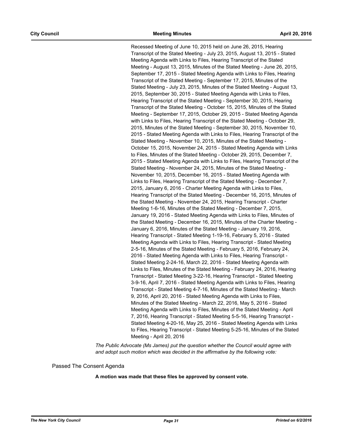Recessed Meeting of June 10, 2015 held on June 26, 2015, Hearing Transcript of the Stated Meeting - July 23, 2015, August 13, 2015 - Stated Meeting Agenda with Links to Files, Hearing Transcript of the Stated Meeting - August 13, 2015, Minutes of the Stated Meeting - June 26, 2015, September 17, 2015 - Stated Meeting Agenda with Links to Files, Hearing Transcript of the Stated Meeting - September 17, 2015, Minutes of the Stated Meeting - July 23, 2015, Minutes of the Stated Meeting - August 13, 2015, September 30, 2015 - Stated Meeting Agenda with Links to Files, Hearing Transcript of the Stated Meeting - September 30, 2015, Hearing Transcript of the Stated Meeting - October 15, 2015, Minutes of the Stated Meeting - September 17, 2015, October 29, 2015 - Stated Meeting Agenda with Links to Files, Hearing Transcript of the Stated Meeting - October 29, 2015, Minutes of the Stated Meeting - September 30, 2015, November 10, 2015 - Stated Meeting Agenda with Links to Files, Hearing Transcript of the Stated Meeting - November 10, 2015, Minutes of the Stated Meeting - October 15, 2015, November 24, 2015 - Stated Meeting Agenda with Links to Files, Minutes of the Stated Meeting - October 29, 2015, December 7, 2015 - Stated Meeting Agenda with Links to Files, Hearing Transcript of the Stated Meeting - November 24, 2015, Minutes of the Stated Meeting - November 10, 2015, December 16, 2015 - Stated Meeting Agenda with Links to Files, Hearing Transcript of the Stated Meeting - December 7, 2015, January 6, 2016 - Charter Meeting Agenda with Links to Files, Hearing Transcript of the Stated Meeting - December 16, 2015, Minutes of the Stated Meeting - November 24, 2015, Hearing Transcript - Charter Meeting 1-6-16, Minutes of the Stated Meeting - December 7, 2015, January 19, 2016 - Stated Meeting Agenda with Links to Files, Minutes of the Stated Meeting - December 16, 2015, Minutes of the Charter Meeting - January 6, 2016, Minutes of the Stated Meeting - January 19, 2016, Hearing Transcript - Stated Meeting 1-19-16, February 5, 2016 - Stated Meeting Agenda with Links to Files, Hearing Transcript - Stated Meeting 2-5-16, Minutes of the Stated Meeting - February 5, 2016, February 24, 2016 - Stated Meeting Agenda with Links to Files, Hearing Transcript - Stated Meeting 2-24-16, March 22, 2016 - Stated Meeting Agenda with Links to Files, Minutes of the Stated Meeting - February 24, 2016, Hearing Transcript - Stated Meeting 3-22-16, Hearing Transcript - Stated Meeting 3-9-16, April 7, 2016 - Stated Meeting Agenda with Links to Files, Hearing Transcript - Stated Meeting 4-7-16, Minutes of the Stated Meeting - March 9, 2016, April 20, 2016 - Stated Meeting Agenda with Links to Files, Minutes of the Stated Meeting - March 22, 2016, May 5, 2016 - Stated Meeting Agenda with Links to Files, Minutes of the Stated Meeting - April 7, 2016, Hearing Transcript - Stated Meeting 5-5-16, Hearing Transcript - Stated Meeting 4-20-16, May 25, 2016 - Stated Meeting Agenda with Links to Files, Hearing Transcript - Stated Meeting 5-25-16, Minutes of the Stated Meeting - April 20, 2016

*The Public Advocate (Ms James) put the question whether the Council would agree with and adopt such motion which was decided in the affirmative by the following vote:*

Passed The Consent Agenda

**A motion was made that these files be approved by consent vote.**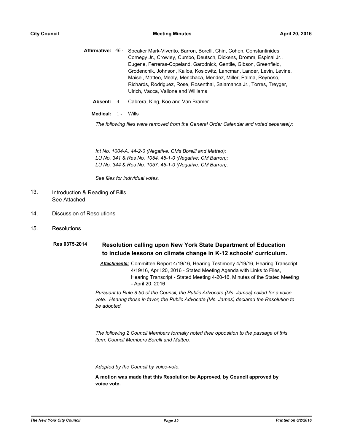|  | Affirmative: 46 - Speaker Mark-Viverito, Barron, Borelli, Chin, Cohen, Constantinides, |
|--|----------------------------------------------------------------------------------------|
|  | Cornegy Jr., Crowley, Cumbo, Deutsch, Dickens, Dromm, Espinal Jr.,                     |
|  | Eugene, Ferreras-Copeland, Garodnick, Gentile, Gibson, Greenfield,                     |
|  | Grodenchik, Johnson, Kallos, Koslowitz, Lancman, Lander, Levin, Levine,                |
|  | Maisel, Matteo, Mealy, Menchaca, Mendez, Miller, Palma, Reynoso,                       |
|  | Richards, Rodriguez, Rose, Rosenthal, Salamanca Jr., Torres, Treyger,                  |
|  | Ulrich, Vacca, Vallone and Williams                                                    |
|  |                                                                                        |

**Absent:** 4 - Cabrera, King, Koo and Van Bramer

**Medical:** 1 - Wills

*The following files were removed from the General Order Calendar and voted separately:*

*Int No. 1004-A, 44-2-0 (Negative: CMs Borelli and Matteo): LU No. 341 & Res No. 1054, 45-1-0 (Negative: CM Barron); LU No. 344 & Res No. 1057, 45-1-0 (Negative: CM Barron).*

*See files for individual votes.*

- Introduction & Reading of Bills See Attached 13.
- 14. Discussion of Resolutions
- 15. Resolutions

#### **Resolution calling upon New York State Department of Education to include lessons on climate change in K-12 schools' curriculum. Res 0375-2014**

*Attachments:* Committee Report 4/19/16, Hearing Testimony 4/19/16, Hearing Transcript 4/19/16, April 20, 2016 - Stated Meeting Agenda with Links to Files, Hearing Transcript - Stated Meeting 4-20-16, Minutes of the Stated Meeting - April 20, 2016

*Pursuant to Rule 8.50 of the Council, the Public Advocate (Ms. James) called for a voice vote. Hearing those in favor, the Public Advocate (Ms. James) declared the Resolution to be adopted.*

*The following 2 Council Members formally noted their opposition to the passage of this item: Council Members Borelli and Matteo.*

*Adopted by the Council by voice-vote.*

**A motion was made that this Resolution be Approved, by Council approved by voice vote.**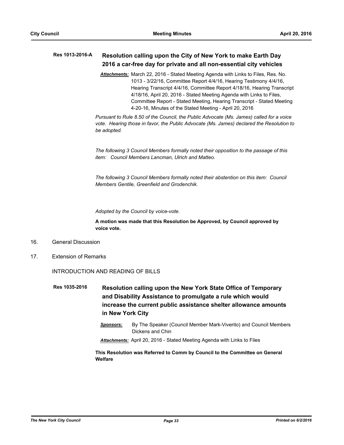#### **Resolution calling upon the City of New York to make Earth Day 2016 a car-free day for private and all non-essential city vehicles Res 1013-2016-A**

*Attachments:* March 22, 2016 - Stated Meeting Agenda with Links to Files, Res. No. 1013 - 3/22/16, Committee Report 4/4/16, Hearing Testimony 4/4/16, Hearing Transcript 4/4/16, Committee Report 4/18/16, Hearing Transcript 4/18/16, April 20, 2016 - Stated Meeting Agenda with Links to Files, Committee Report - Stated Meeting, Hearing Transcript - Stated Meeting 4-20-16, Minutes of the Stated Meeting - April 20, 2016

*Pursuant to Rule 8.50 of the Council, the Public Advocate (Ms. James) called for a voice vote. Hearing those in favor, the Public Advocate (Ms. James) declared the Resolution to be adopted.*

*The following 3 Council Members formally noted their opposition to the passage of this item: Council Members Lancman, Ulrich and Matteo.*

*The following 3 Council Members formally noted their abstention on this item: Council Members Gentile, Greenfield and Grodenchik.*

*Adopted by the Council by voice-vote.*

**A motion was made that this Resolution be Approved, by Council approved by voice vote.**

- 16. General Discussion
- 17. Extension of Remarks

#### INTRODUCTION AND READING OF BILLS

**Resolution calling upon the New York State Office of Temporary and Disability Assistance to promulgate a rule which would increase the current public assistance shelter allowance amounts in New York City Res 1035-2016**

> *Sponsors:* By The Speaker (Council Member Mark-Viverito) and Council Members Dickens and Chin

*Attachments:* April 20, 2016 - Stated Meeting Agenda with Links to Files

**This Resolution was Referred to Comm by Council to the Committee on General Welfare**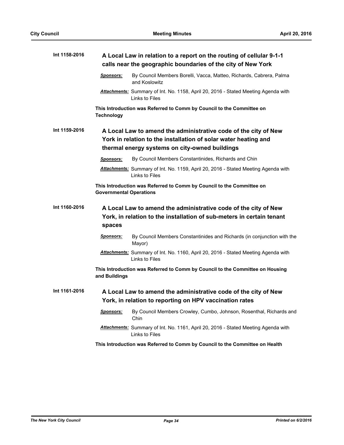| Int 1158-2016 | A Local Law in relation to a report on the routing of cellular 9-1-1<br>calls near the geographic boundaries of the city of New York                                                 |  |  |  |  |
|---------------|--------------------------------------------------------------------------------------------------------------------------------------------------------------------------------------|--|--|--|--|
|               | By Council Members Borelli, Vacca, Matteo, Richards, Cabrera, Palma<br>Sponsors:<br>and Koslowitz                                                                                    |  |  |  |  |
|               | Attachments: Summary of Int. No. 1158, April 20, 2016 - Stated Meeting Agenda with<br>Links to Files                                                                                 |  |  |  |  |
|               | This Introduction was Referred to Comm by Council to the Committee on<br><b>Technology</b>                                                                                           |  |  |  |  |
| Int 1159-2016 | A Local Law to amend the administrative code of the city of New<br>York in relation to the installation of solar water heating and<br>thermal energy systems on city-owned buildings |  |  |  |  |
|               | By Council Members Constantinides, Richards and Chin<br>Sponsors:                                                                                                                    |  |  |  |  |
|               | Attachments: Summary of Int. No. 1159, April 20, 2016 - Stated Meeting Agenda with<br>Links to Files                                                                                 |  |  |  |  |
|               | This Introduction was Referred to Comm by Council to the Committee on<br><b>Governmental Operations</b>                                                                              |  |  |  |  |
| Int 1160-2016 | A Local Law to amend the administrative code of the city of New<br>York, in relation to the installation of sub-meters in certain tenant<br>spaces                                   |  |  |  |  |
|               | By Council Members Constantinides and Richards (in conjunction with the<br>Sponsors:<br>Mayor)                                                                                       |  |  |  |  |
|               | Attachments: Summary of Int. No. 1160, April 20, 2016 - Stated Meeting Agenda with<br>Links to Files                                                                                 |  |  |  |  |
|               | This Introduction was Referred to Comm by Council to the Committee on Housing<br>and Buildings                                                                                       |  |  |  |  |
| Int 1161-2016 | A Local Law to amend the administrative code of the city of New<br>York, in relation to reporting on HPV vaccination rates                                                           |  |  |  |  |
|               | By Council Members Crowley, Cumbo, Johnson, Rosenthal, Richards and<br><b>Sponsors:</b><br>Chin                                                                                      |  |  |  |  |
|               | Attachments: Summary of Int. No. 1161, April 20, 2016 - Stated Meeting Agenda with<br>Links to Files                                                                                 |  |  |  |  |
|               | This Introduction was Referred to Comm by Council to the Committee on Health                                                                                                         |  |  |  |  |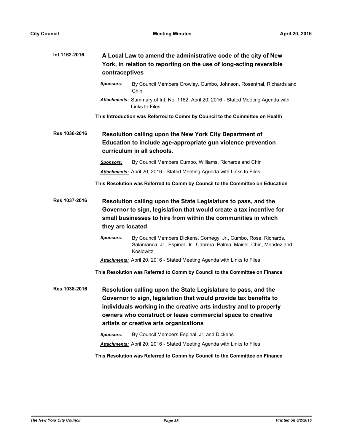| Int 1162-2016 | A Local Law to amend the administrative code of the city of New<br>York, in relation to reporting on the use of long-acting reversible<br>contraceptives                                                                                                                                                                                                                   |                                                                                                                                                                                                        |  |
|---------------|----------------------------------------------------------------------------------------------------------------------------------------------------------------------------------------------------------------------------------------------------------------------------------------------------------------------------------------------------------------------------|--------------------------------------------------------------------------------------------------------------------------------------------------------------------------------------------------------|--|
|               | Sponsors:                                                                                                                                                                                                                                                                                                                                                                  | By Council Members Crowley, Cumbo, Johnson, Rosenthal, Richards and<br>Chin                                                                                                                            |  |
|               |                                                                                                                                                                                                                                                                                                                                                                            | Attachments: Summary of Int. No. 1162, April 20, 2016 - Stated Meeting Agenda with<br>Links to Files                                                                                                   |  |
|               |                                                                                                                                                                                                                                                                                                                                                                            | This Introduction was Referred to Comm by Council to the Committee on Health                                                                                                                           |  |
| Res 1036-2016 | Resolution calling upon the New York City Department of<br>Education to include age-appropriate gun violence prevention<br>curriculum in all schools.                                                                                                                                                                                                                      |                                                                                                                                                                                                        |  |
|               | <b>Sponsors:</b>                                                                                                                                                                                                                                                                                                                                                           | By Council Members Cumbo, Williams, Richards and Chin                                                                                                                                                  |  |
|               |                                                                                                                                                                                                                                                                                                                                                                            | <b>Attachments:</b> April 20, 2016 - Stated Meeting Agenda with Links to Files                                                                                                                         |  |
|               |                                                                                                                                                                                                                                                                                                                                                                            | This Resolution was Referred to Comm by Council to the Committee on Education                                                                                                                          |  |
| Res 1037-2016 | they are located                                                                                                                                                                                                                                                                                                                                                           | Resolution calling upon the State Legislature to pass, and the<br>Governor to sign, legislation that would create a tax incentive for<br>small businesses to hire from within the communities in which |  |
|               | <b>Sponsors:</b>                                                                                                                                                                                                                                                                                                                                                           | By Council Members Dickens, Cornegy Jr., Cumbo, Rose, Richards,<br>Salamanca Jr., Espinal Jr., Cabrera, Palma, Maisel, Chin, Mendez and<br>Koslowitz                                                   |  |
|               |                                                                                                                                                                                                                                                                                                                                                                            | <b>Attachments:</b> April 20, 2016 - Stated Meeting Agenda with Links to Files                                                                                                                         |  |
|               |                                                                                                                                                                                                                                                                                                                                                                            | This Resolution was Referred to Comm by Council to the Committee on Finance                                                                                                                            |  |
| Res 1038-2016 | Resolution calling upon the State Legislature to pass, and the<br>Governor to sign, legislation that would provide tax benefits to<br>individuals working in the creative arts industry and to property<br>owners who construct or lease commercial space to creative<br>artists or creative arts organizations<br>By Council Members Espinal Jr. and Dickens<br>Sponsors: |                                                                                                                                                                                                        |  |
|               |                                                                                                                                                                                                                                                                                                                                                                            | Attachments: April 20, 2016 - Stated Meeting Agenda with Links to Files                                                                                                                                |  |

**This Resolution was Referred to Comm by Council to the Committee on Finance**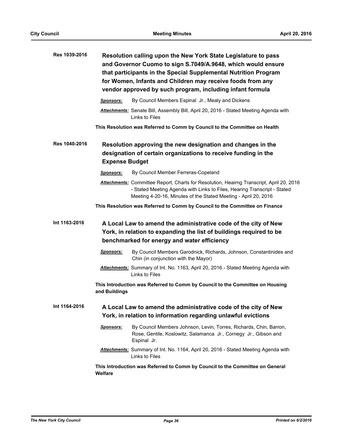| Res 1039-2016 | Resolution calling upon the New York State Legislature to pass<br>and Governor Cuomo to sign S.7049/A.9648, which would ensure<br>that participants in the Special Supplemental Nutrition Program<br>for Women, Infants and Children may receive foods from any<br>vendor approved by such program, including infant formula |  |  |
|---------------|------------------------------------------------------------------------------------------------------------------------------------------------------------------------------------------------------------------------------------------------------------------------------------------------------------------------------|--|--|
|               | By Council Members Espinal Jr., Mealy and Dickens<br>Sponsors:                                                                                                                                                                                                                                                               |  |  |
|               | Attachments: Senate Bill, Assembly Bill, April 20, 2016 - Stated Meeting Agenda with<br>Links to Files                                                                                                                                                                                                                       |  |  |
|               | This Resolution was Referred to Comm by Council to the Committee on Health                                                                                                                                                                                                                                                   |  |  |
| Res 1040-2016 | Resolution approving the new designation and changes in the<br>designation of certain organizations to receive funding in the<br><b>Expense Budget</b>                                                                                                                                                                       |  |  |
|               | By Council Member Ferreras-Copeland<br>Sponsors:                                                                                                                                                                                                                                                                             |  |  |
|               | Attachments: Committee Report, Charts for Resolution, Heairng Transcript, April 20, 2016<br>- Stated Meeting Agenda with Links to Files, Hearing Transcript - Stated<br>Meeting 4-20-16, Minutes of the Stated Meeting - April 20, 2016                                                                                      |  |  |
|               | This Resolution was Referred to Comm by Council to the Committee on Finance                                                                                                                                                                                                                                                  |  |  |
| Int 1163-2016 | A Local Law to amend the administrative code of the city of New<br>York, in relation to expanding the list of buildings required to be<br>benchmarked for energy and water efficiency                                                                                                                                        |  |  |
|               | By Council Members Garodnick, Richards, Johnson, Constantinides and<br><u>Sponsors:</u><br>Chin (in conjunction with the Mayor)                                                                                                                                                                                              |  |  |
|               | Attachments: Summary of Int. No. 1163, April 20, 2016 - Stated Meeting Agenda with<br>Links to Files                                                                                                                                                                                                                         |  |  |
|               | This Introduction was Referred to Comm by Council to the Committee on Housing<br>and Buildings                                                                                                                                                                                                                               |  |  |
| Int 1164-2016 | A Local Law to amend the administrative code of the city of New<br>York, in relation to information regarding unlawful evictions                                                                                                                                                                                             |  |  |
|               | Sponsors:<br>By Council Members Johnson, Levin, Torres, Richards, Chin, Barron,<br>Rose, Gentile, Koslowitz, Salamanca Jr., Cornegy Jr., Gibson and<br>Espinal Jr.                                                                                                                                                           |  |  |
|               | Attachments: Summary of Int. No. 1164, April 20, 2016 - Stated Meeting Agenda with<br>Links to Files                                                                                                                                                                                                                         |  |  |
|               | This Introduction was Referred to Comm by Council to the Committee on General<br><b>Welfare</b>                                                                                                                                                                                                                              |  |  |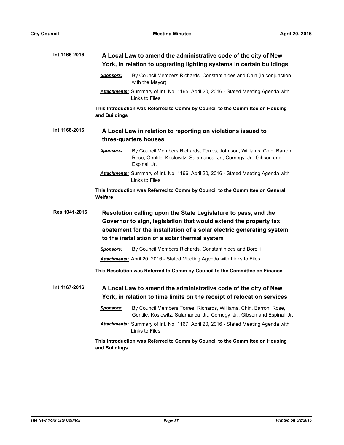| Int 1165-2016 | A Local Law to amend the administrative code of the city of New<br>York, in relation to upgrading lighting systems in certain buildings                                                                                                                     |                                                                                                                                                          |  |
|---------------|-------------------------------------------------------------------------------------------------------------------------------------------------------------------------------------------------------------------------------------------------------------|----------------------------------------------------------------------------------------------------------------------------------------------------------|--|
|               | Sponsors:                                                                                                                                                                                                                                                   | By Council Members Richards, Constantinides and Chin (in conjunction<br>with the Mayor)                                                                  |  |
|               |                                                                                                                                                                                                                                                             | Attachments: Summary of Int. No. 1165, April 20, 2016 - Stated Meeting Agenda with<br>Links to Files                                                     |  |
|               | and Buildings                                                                                                                                                                                                                                               | This Introduction was Referred to Comm by Council to the Committee on Housing                                                                            |  |
| Int 1166-2016 | A Local Law in relation to reporting on violations issued to<br>three-quarters houses                                                                                                                                                                       |                                                                                                                                                          |  |
|               | Sponsors:                                                                                                                                                                                                                                                   | By Council Members Richards, Torres, Johnson, Williams, Chin, Barron,<br>Rose, Gentile, Koslowitz, Salamanca Jr., Cornegy Jr., Gibson and<br>Espinal Jr. |  |
|               |                                                                                                                                                                                                                                                             | Attachments: Summary of Int. No. 1166, April 20, 2016 - Stated Meeting Agenda with<br>Links to Files                                                     |  |
|               | Welfare                                                                                                                                                                                                                                                     | This Introduction was Referred to Comm by Council to the Committee on General                                                                            |  |
| Res 1041-2016 | Resolution calling upon the State Legislature to pass, and the<br>Governor to sign, legislation that would extend the property tax<br>abatement for the installation of a solar electric generating system<br>to the installation of a solar thermal system |                                                                                                                                                          |  |
|               | Sponsors:                                                                                                                                                                                                                                                   | By Council Members Richards, Constantinides and Borelli                                                                                                  |  |
|               |                                                                                                                                                                                                                                                             | Attachments: April 20, 2016 - Stated Meeting Agenda with Links to Files                                                                                  |  |
|               |                                                                                                                                                                                                                                                             | This Resolution was Referred to Comm by Council to the Committee on Finance                                                                              |  |
| Int 1167-2016 | A Local Law to amend the administrative code of the city of New<br>York, in relation to time limits on the receipt of relocation services                                                                                                                   |                                                                                                                                                          |  |
|               | <u>Sponsors:</u>                                                                                                                                                                                                                                            | By Council Members Torres, Richards, Williams, Chin, Barron, Rose,<br>Gentile, Koslowitz, Salamanca Jr., Cornegy Jr., Gibson and Espinal Jr.             |  |
|               |                                                                                                                                                                                                                                                             | Attachments: Summary of Int. No. 1167, April 20, 2016 - Stated Meeting Agenda with<br>Links to Files                                                     |  |
|               | This Introduction was Referred to Comm by Council to the Committee on Housing<br>and Buildings                                                                                                                                                              |                                                                                                                                                          |  |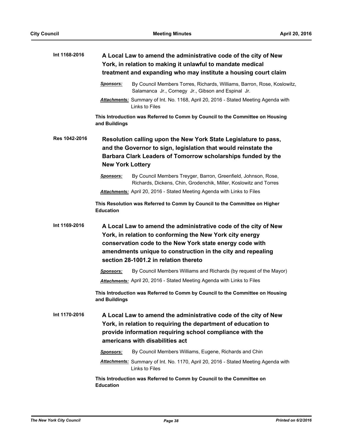| Int 1168-2016 | A Local Law to amend the administrative code of the city of New<br>York, in relation to making it unlawful to mandate medical<br>treatment and expanding who may institute a housing court claim                                                                                                |                                                                                                                                     |  |
|---------------|-------------------------------------------------------------------------------------------------------------------------------------------------------------------------------------------------------------------------------------------------------------------------------------------------|-------------------------------------------------------------------------------------------------------------------------------------|--|
|               | <b>Sponsors:</b>                                                                                                                                                                                                                                                                                | By Council Members Torres, Richards, Williams, Barron, Rose, Koslowitz,<br>Salamanca Jr., Cornegy Jr., Gibson and Espinal Jr.       |  |
|               |                                                                                                                                                                                                                                                                                                 | <b>Attachments:</b> Summary of Int. No. 1168, April 20, 2016 - Stated Meeting Agenda with<br>Links to Files                         |  |
|               | and Buildings                                                                                                                                                                                                                                                                                   | This Introduction was Referred to Comm by Council to the Committee on Housing                                                       |  |
| Res 1042-2016 | Resolution calling upon the New York State Legislature to pass,<br>and the Governor to sign, legislation that would reinstate the<br>Barbara Clark Leaders of Tomorrow scholarships funded by the<br><b>New York Lottery</b>                                                                    |                                                                                                                                     |  |
|               | <b>Sponsors:</b>                                                                                                                                                                                                                                                                                | By Council Members Treyger, Barron, Greenfield, Johnson, Rose,<br>Richards, Dickens, Chin, Grodenchik, Miller, Koslowitz and Torres |  |
|               |                                                                                                                                                                                                                                                                                                 | <b>Attachments:</b> April 20, 2016 - Stated Meeting Agenda with Links to Files                                                      |  |
|               | <b>Education</b>                                                                                                                                                                                                                                                                                | This Resolution was Referred to Comm by Council to the Committee on Higher                                                          |  |
| Int 1169-2016 | A Local Law to amend the administrative code of the city of New<br>York, in relation to conforming the New York city energy<br>conservation code to the New York state energy code with<br>amendments unique to construction in the city and repealing<br>section 28-1001.2 in relation thereto |                                                                                                                                     |  |
|               | Sponsors:                                                                                                                                                                                                                                                                                       | By Council Members Williams and Richards (by request of the Mayor)                                                                  |  |
|               |                                                                                                                                                                                                                                                                                                 | <b>Attachments:</b> April 20, 2016 - Stated Meeting Agenda with Links to Files                                                      |  |
|               | This Introduction was Referred to Comm by Council to the Committee on Housing<br>and Buildings                                                                                                                                                                                                  |                                                                                                                                     |  |
| Int 1170-2016 | A Local Law to amend the administrative code of the city of New<br>York, in relation to requiring the department of education to<br>provide information requiring school compliance with the<br>americans with disabilities act                                                                 |                                                                                                                                     |  |
|               | <b>Sponsors:</b>                                                                                                                                                                                                                                                                                | By Council Members Williams, Eugene, Richards and Chin                                                                              |  |
|               |                                                                                                                                                                                                                                                                                                 | <b>Attachments:</b> Summary of Int. No. 1170, April 20, 2016 - Stated Meeting Agenda with<br>Links to Files                         |  |
|               | <b>Education</b>                                                                                                                                                                                                                                                                                | This Introduction was Referred to Comm by Council to the Committee on                                                               |  |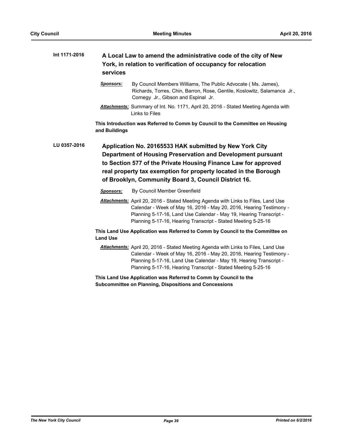| Int 1171-2016 | A Local Law to amend the administrative code of the city of New<br>York, in relation to verification of occupancy for relocation<br>services                                                                                                                                                                        |                                                                                                                                                                                                                                                                                                 |  |
|---------------|---------------------------------------------------------------------------------------------------------------------------------------------------------------------------------------------------------------------------------------------------------------------------------------------------------------------|-------------------------------------------------------------------------------------------------------------------------------------------------------------------------------------------------------------------------------------------------------------------------------------------------|--|
|               | <b>Sponsors:</b>                                                                                                                                                                                                                                                                                                    | By Council Members Williams, The Public Advocate (Ms. James),<br>Richards, Torres, Chin, Barron, Rose, Gentile, Koslowitz, Salamanca Jr.,<br>Cornegy Jr., Gibson and Espinal Jr.                                                                                                                |  |
|               |                                                                                                                                                                                                                                                                                                                     | <b>Attachments:</b> Summary of Int. No. 1171, April 20, 2016 - Stated Meeting Agenda with<br>Links to Files                                                                                                                                                                                     |  |
|               | and Buildings                                                                                                                                                                                                                                                                                                       | This Introduction was Referred to Comm by Council to the Committee on Housing                                                                                                                                                                                                                   |  |
| LU 0357-2016  | Application No. 20165533 HAK submitted by New York City<br>Department of Housing Preservation and Development pursuant<br>to Section 577 of the Private Housing Finance Law for approved<br>real property tax exemption for property located in the Borough<br>of Brooklyn, Community Board 3, Council District 16. |                                                                                                                                                                                                                                                                                                 |  |
|               | <b>Sponsors:</b>                                                                                                                                                                                                                                                                                                    | By Council Member Greenfield                                                                                                                                                                                                                                                                    |  |
|               |                                                                                                                                                                                                                                                                                                                     | Attachments: April 20, 2016 - Stated Meeting Agenda with Links to Files, Land Use<br>Calendar - Week of May 16, 2016 - May 20, 2016, Hearing Testimony -<br>Planning 5-17-16, Land Use Calendar - May 19, Hearing Transcript -<br>Planning 5-17-16, Hearing Transcript - Stated Meeting 5-25-16 |  |
|               | <b>Land Use</b>                                                                                                                                                                                                                                                                                                     | This Land Use Application was Referred to Comm by Council to the Committee on                                                                                                                                                                                                                   |  |
|               |                                                                                                                                                                                                                                                                                                                     | <b>Attachments:</b> April 20, 2016 - Stated Meeting Agenda with Links to Files, Land Use<br>Calendar - Week of May 16, 2016 - May 20, 2016, Hearing Testimony -<br>Planning 5-17-16, Land Use Calendar - May 19, Hearing Transcript -                                                           |  |

**This Land Use Application was Referred to Comm by Council to the Subcommittee on Planning, Dispositions and Concessions**

Planning 5-17-16, Hearing Transcript - Stated Meeting 5-25-16